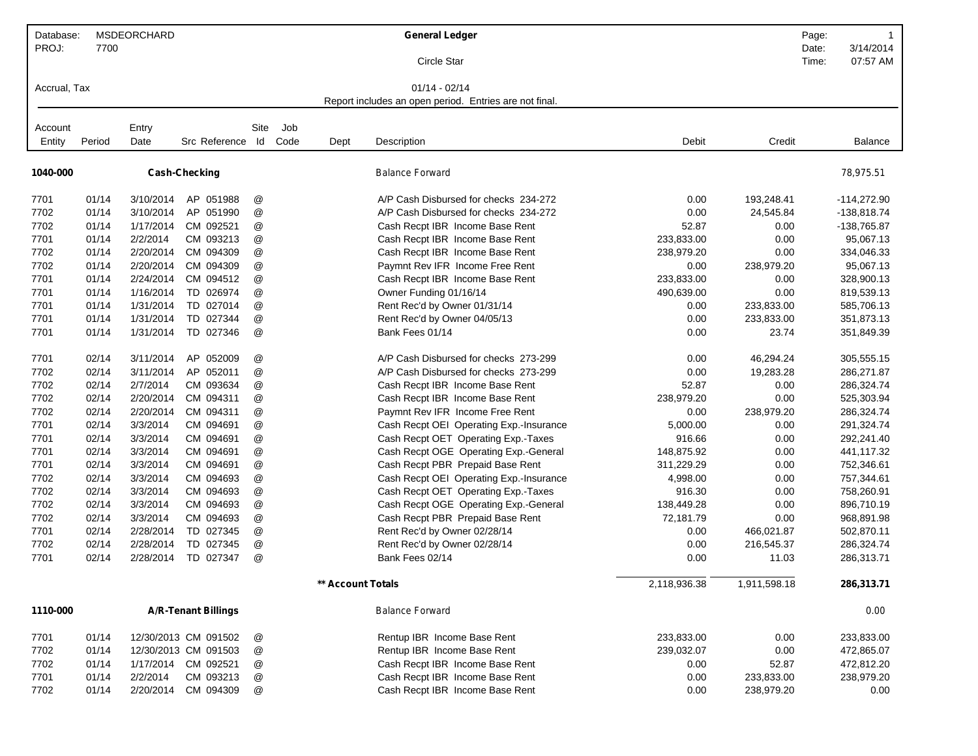| Database:    |        | MSDEORCHARD |                            |                           |      |                   | <b>General Ledger</b>                                  |              |              | Page:          | $\mathbf 1$           |
|--------------|--------|-------------|----------------------------|---------------------------|------|-------------------|--------------------------------------------------------|--------------|--------------|----------------|-----------------------|
| PROJ:        | 7700   |             |                            |                           |      |                   | Circle Star                                            |              |              | Date:<br>Time: | 3/14/2014<br>07:57 AM |
| Accrual, Tax |        |             |                            |                           |      |                   | $01/14 - 02/14$                                        |              |              |                |                       |
|              |        |             |                            |                           |      |                   | Report includes an open period. Entries are not final. |              |              |                |                       |
|              |        |             |                            |                           |      |                   |                                                        |              |              |                |                       |
| Account      |        | Entry       |                            | Site                      | Job  |                   |                                                        |              |              |                |                       |
| Entity       | Period | Date        | Src Reference Id           |                           | Code | Dept              | Description                                            | Debit        | Credit       |                | <b>Balance</b>        |
| 1040-000     |        |             | <b>Cash-Checking</b>       |                           |      |                   | <b>Balance Forward</b>                                 |              |              |                | 78,975.51             |
|              |        |             |                            |                           |      |                   |                                                        |              |              |                |                       |
| 7701         | 01/14  | 3/10/2014   | AP 051988                  | @                         |      |                   | A/P Cash Disbursed for checks 234-272                  | 0.00         | 193,248.41   |                | $-114,272.90$         |
| 7702         | 01/14  | 3/10/2014   | AP 051990                  | @                         |      |                   | A/P Cash Disbursed for checks 234-272                  | 0.00         | 24,545.84    |                | $-138,818.74$         |
| 7702         | 01/14  | 1/17/2014   | CM 092521                  | @                         |      |                   | Cash Recpt IBR Income Base Rent                        | 52.87        | 0.00         |                | -138,765.87           |
| 7701         | 01/14  | 2/2/2014    | CM 093213                  | $^\copyright$             |      |                   | Cash Recpt IBR Income Base Rent                        | 233,833.00   | 0.00         |                | 95,067.13             |
| 7702         | 01/14  | 2/20/2014   | CM 094309                  | $^\copyright$             |      |                   | Cash Recpt IBR Income Base Rent                        | 238,979.20   | 0.00         |                | 334,046.33            |
| 7702         | 01/14  | 2/20/2014   | CM 094309                  | @                         |      |                   | Paymnt Rev IFR Income Free Rent                        | 0.00         | 238,979.20   |                | 95,067.13             |
| 7701         | 01/14  | 2/24/2014   | CM 094512                  | @                         |      |                   | Cash Recpt IBR Income Base Rent                        | 233,833.00   | 0.00         |                | 328,900.13            |
| 7701         | 01/14  | 1/16/2014   | TD 026974                  | @                         |      |                   | Owner Funding 01/16/14                                 | 490,639.00   | 0.00         |                | 819,539.13            |
| 7701         | 01/14  | 1/31/2014   | TD 027014                  | @                         |      |                   | Rent Rec'd by Owner 01/31/14                           | 0.00         | 233,833.00   |                | 585,706.13            |
| 7701         | 01/14  | 1/31/2014   | TD 027344                  | $^\copyright$             |      |                   | Rent Rec'd by Owner 04/05/13                           | 0.00         | 233,833.00   |                | 351,873.13            |
| 7701         | 01/14  | 1/31/2014   | TD 027346                  | @                         |      |                   | Bank Fees 01/14                                        | 0.00         | 23.74        |                | 351,849.39            |
| 7701         | 02/14  | 3/11/2014   | AP 052009                  | @                         |      |                   | A/P Cash Disbursed for checks 273-299                  | 0.00         | 46,294.24    |                | 305,555.15            |
| 7702         | 02/14  | 3/11/2014   | AP 052011                  | $^\copyright$             |      |                   | A/P Cash Disbursed for checks 273-299                  | 0.00         | 19,283.28    |                | 286,271.87            |
| 7702         | 02/14  | 2/7/2014    | CM 093634                  | @                         |      |                   | Cash Recpt IBR Income Base Rent                        | 52.87        | 0.00         |                | 286,324.74            |
| 7702         | 02/14  | 2/20/2014   | CM 094311                  | $^\copyright$             |      |                   | Cash Recpt IBR Income Base Rent                        | 238,979.20   | 0.00         |                | 525,303.94            |
| 7702         | 02/14  | 2/20/2014   | CM 094311                  | $^\copyright$             |      |                   | Paymnt Rev IFR Income Free Rent                        | 0.00         | 238,979.20   |                | 286,324.74            |
| 7701         | 02/14  | 3/3/2014    | CM 094691                  | @                         |      |                   | Cash Recpt OEI Operating Exp.-Insurance                | 5,000.00     | 0.00         |                | 291,324.74            |
| 7701         | 02/14  | 3/3/2014    | CM 094691                  | $^\copyright$             |      |                   | Cash Recpt OET Operating Exp.-Taxes                    | 916.66       | 0.00         |                | 292,241.40            |
| 7701         | 02/14  | 3/3/2014    | CM 094691                  | @                         |      |                   | Cash Recpt OGE Operating Exp.-General                  | 148,875.92   | 0.00         |                | 441,117.32            |
| 7701         | 02/14  | 3/3/2014    | CM 094691                  | @                         |      |                   | Cash Recpt PBR Prepaid Base Rent                       | 311,229.29   | 0.00         |                | 752,346.61            |
| 7702         | 02/14  | 3/3/2014    | CM 094693                  | @                         |      |                   | Cash Recpt OEI Operating Exp.-Insurance                | 4,998.00     | 0.00         |                | 757,344.61            |
| 7702         | 02/14  | 3/3/2014    | CM 094693                  | $^\copyright$             |      |                   | Cash Recpt OET Operating Exp.-Taxes                    | 916.30       | 0.00         |                | 758,260.91            |
| 7702         | 02/14  | 3/3/2014    | CM 094693                  | $^\copyright$             |      |                   | Cash Recpt OGE Operating Exp.-General                  | 138,449.28   | 0.00         |                | 896,710.19            |
| 7702         | 02/14  | 3/3/2014    | CM 094693                  | @                         |      |                   | Cash Recpt PBR Prepaid Base Rent                       | 72,181.79    | 0.00         |                | 968,891.98            |
| 7701         | 02/14  | 2/28/2014   | TD 027345                  | @                         |      |                   | Rent Rec'd by Owner 02/28/14                           | 0.00         | 466,021.87   |                | 502,870.11            |
| 7702         | 02/14  | 2/28/2014   | TD 027345                  | @                         |      |                   | Rent Rec'd by Owner 02/28/14                           | 0.00         | 216,545.37   |                | 286,324.74            |
| 7701         | 02/14  | 2/28/2014   | TD 027347                  | @                         |      |                   | Bank Fees 02/14                                        | 0.00         | 11.03        |                | 286,313.71            |
|              |        |             |                            |                           |      | ** Account Totals |                                                        | 2,118,936.38 | 1,911,598.18 |                | 286,313.71            |
| 1110-000     |        |             | <b>A/R-Tenant Billings</b> |                           |      |                   | <b>Balance Forward</b>                                 |              |              |                | 0.00                  |
| 7701         | 01/14  |             | 12/30/2013 CM 091502       | @                         |      |                   | Rentup IBR Income Base Rent                            | 233,833.00   | 0.00         |                | 233,833.00            |
| 7702         | 01/14  |             | 12/30/2013 CM 091503       | $^\text{\textregistered}$ |      |                   | Rentup IBR Income Base Rent                            | 239,032.07   | 0.00         |                | 472,865.07            |
| 7702         | 01/14  | 1/17/2014   | CM 092521                  | $^\copyright$             |      |                   | Cash Recpt IBR Income Base Rent                        | 0.00         | 52.87        |                | 472,812.20            |
| 7701         | 01/14  | 2/2/2014    | CM 093213                  | @                         |      |                   | Cash Recpt IBR Income Base Rent                        | 0.00         | 233,833.00   |                | 238,979.20            |
| 7702         | 01/14  | 2/20/2014   | CM 094309                  | @                         |      |                   | Cash Recpt IBR Income Base Rent                        | 0.00         | 238,979.20   |                | 0.00                  |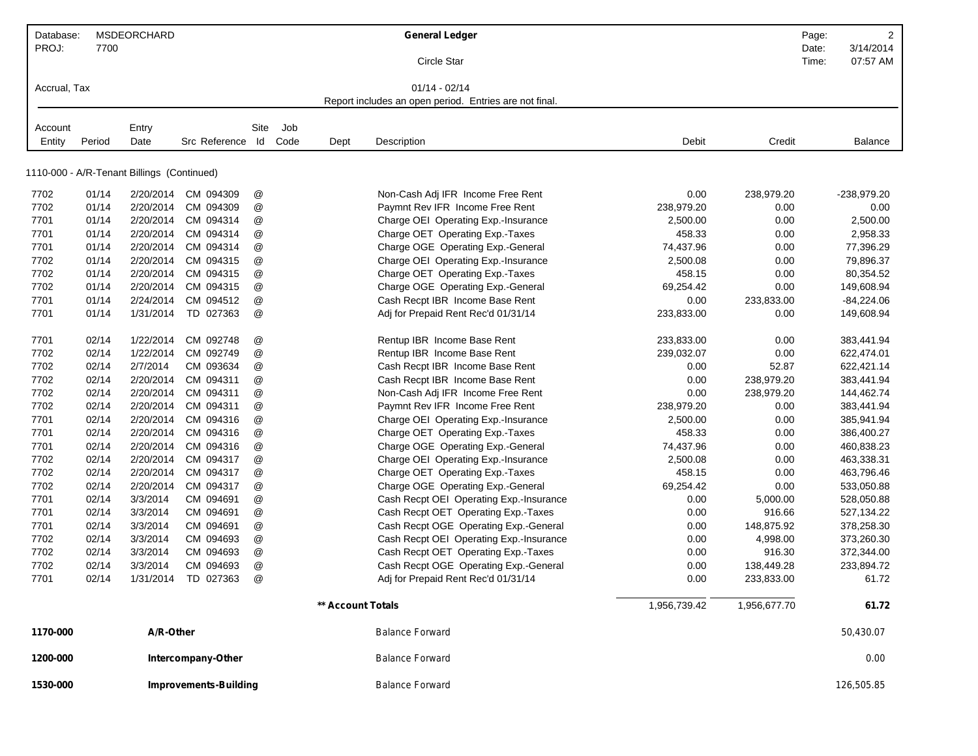| Database:<br>PROJ: | 7700   | <b>MSDEORCHARD</b>                         |                              |            |             |                   | <b>General Ledger</b>                                  |              |              | Page:<br>Date: | $\overline{2}$<br>3/14/2014 |
|--------------------|--------|--------------------------------------------|------------------------------|------------|-------------|-------------------|--------------------------------------------------------|--------------|--------------|----------------|-----------------------------|
|                    |        |                                            |                              |            |             |                   | Circle Star                                            |              |              | Time:          | 07:57 AM                    |
| Accrual, Tax       |        |                                            |                              |            |             |                   | $01/14 - 02/14$                                        |              |              |                |                             |
|                    |        |                                            |                              |            |             |                   | Report includes an open period. Entries are not final. |              |              |                |                             |
|                    |        |                                            |                              |            |             |                   |                                                        |              |              |                |                             |
| Account<br>Entity  | Period | Entry<br>Date                              | Src Reference                | Site<br>ld | Job<br>Code | Dept              | Description                                            | Debit        | Credit       |                | <b>Balance</b>              |
|                    |        |                                            |                              |            |             |                   |                                                        |              |              |                |                             |
|                    |        | 1110-000 - A/R-Tenant Billings (Continued) |                              |            |             |                   |                                                        |              |              |                |                             |
| 7702               | 01/14  | 2/20/2014                                  | CM 094309                    | @          |             |                   | Non-Cash Adj IFR Income Free Rent                      | 0.00         | 238,979.20   |                | -238,979.20                 |
| 7702               | 01/14  | 2/20/2014                                  | CM 094309                    | @          |             |                   | Paymnt Rev IFR Income Free Rent                        | 238,979.20   | 0.00         |                | 0.00                        |
| 7701               | 01/14  | 2/20/2014                                  | CM 094314                    | @          |             |                   | Charge OEI Operating Exp.-Insurance                    | 2,500.00     | 0.00         |                | 2,500.00                    |
| 7701               | 01/14  | 2/20/2014                                  | CM 094314                    | @          |             |                   | Charge OET Operating Exp.-Taxes                        | 458.33       | 0.00         |                | 2,958.33                    |
| 7701               | 01/14  | 2/20/2014                                  | CM 094314                    | @          |             |                   | Charge OGE Operating Exp.-General                      | 74,437.96    | 0.00         |                | 77,396.29                   |
| 7702               | 01/14  | 2/20/2014                                  | CM 094315                    | @          |             |                   | Charge OEI Operating Exp.-Insurance                    | 2,500.08     | 0.00         |                | 79,896.37                   |
| 7702               | 01/14  | 2/20/2014                                  | CM 094315                    | @          |             |                   | Charge OET Operating Exp.-Taxes                        | 458.15       | 0.00         |                | 80,354.52                   |
| 7702               | 01/14  | 2/20/2014                                  | CM 094315                    | @          |             |                   | Charge OGE Operating Exp.-General                      | 69,254.42    | 0.00         |                | 149,608.94                  |
| 7701               | 01/14  | 2/24/2014                                  | CM 094512                    | @          |             |                   | Cash Recpt IBR Income Base Rent                        | 0.00         | 233,833.00   |                | $-84,224.06$                |
| 7701               | 01/14  | 1/31/2014                                  | TD 027363                    | @          |             |                   | Adj for Prepaid Rent Rec'd 01/31/14                    | 233,833.00   | 0.00         |                | 149,608.94                  |
| 7701               | 02/14  | 1/22/2014                                  | CM 092748                    | @          |             |                   | Rentup IBR Income Base Rent                            | 233,833.00   | 0.00         |                | 383,441.94                  |
| 7702               | 02/14  | 1/22/2014                                  | CM 092749                    | @          |             |                   | Rentup IBR Income Base Rent                            | 239,032.07   | 0.00         |                | 622,474.01                  |
| 7702               | 02/14  | 2/7/2014                                   | CM 093634                    | @          |             |                   | Cash Recpt IBR Income Base Rent                        | 0.00         | 52.87        |                | 622,421.14                  |
| 7702               | 02/14  | 2/20/2014                                  | CM 094311                    | @          |             |                   | Cash Recpt IBR Income Base Rent                        | 0.00         | 238,979.20   |                | 383,441.94                  |
| 7702               | 02/14  | 2/20/2014                                  | CM 094311                    | @          |             |                   | Non-Cash Adj IFR Income Free Rent                      | 0.00         | 238,979.20   |                | 144,462.74                  |
| 7702               | 02/14  | 2/20/2014                                  | CM 094311                    | @          |             |                   | Paymnt Rev IFR Income Free Rent                        | 238,979.20   | 0.00         |                | 383,441.94                  |
| 7701               | 02/14  | 2/20/2014                                  | CM 094316                    | @          |             |                   | Charge OEI Operating Exp.-Insurance                    | 2,500.00     | 0.00         |                | 385,941.94                  |
| 7701               | 02/14  | 2/20/2014                                  | CM 094316                    | @          |             |                   | Charge OET Operating Exp.-Taxes                        | 458.33       | 0.00         |                | 386,400.27                  |
| 7701               | 02/14  | 2/20/2014                                  | CM 094316                    | @          |             |                   | Charge OGE Operating Exp.-General                      | 74,437.96    | 0.00         |                | 460,838.23                  |
| 7702               | 02/14  | 2/20/2014                                  | CM 094317                    | @          |             |                   | Charge OEI Operating Exp.-Insurance                    | 2,500.08     | 0.00         |                | 463,338.31                  |
| 7702               | 02/14  | 2/20/2014                                  | CM 094317                    | @          |             |                   | Charge OET Operating Exp.-Taxes                        | 458.15       | 0.00         |                | 463,796.46                  |
| 7702               | 02/14  | 2/20/2014                                  | CM 094317                    | @          |             |                   | Charge OGE Operating Exp.-General                      | 69,254.42    | 0.00         |                | 533,050.88                  |
| 7701               | 02/14  | 3/3/2014                                   | CM 094691                    | @          |             |                   | Cash Recpt OEI Operating Exp.-Insurance                | 0.00         | 5,000.00     |                | 528,050.88                  |
| 7701               | 02/14  | 3/3/2014                                   | CM 094691                    | @          |             |                   | Cash Recpt OET Operating Exp.-Taxes                    | 0.00         | 916.66       |                | 527,134.22                  |
| 7701               | 02/14  | 3/3/2014                                   | CM 094691                    | @          |             |                   | Cash Recpt OGE Operating Exp.-General                  | 0.00         | 148,875.92   |                | 378,258.30                  |
| 7702               | 02/14  | 3/3/2014                                   | CM 094693                    | @          |             |                   | Cash Recpt OEI Operating Exp.-Insurance                | 0.00         | 4,998.00     |                | 373,260.30                  |
| 7702               | 02/14  | 3/3/2014                                   | CM 094693                    | @          |             |                   | Cash Recpt OET Operating Exp.-Taxes                    | 0.00         | 916.30       |                | 372,344.00                  |
| 7702               | 02/14  | 3/3/2014                                   | CM 094693                    | @          |             |                   | Cash Recpt OGE Operating Exp.-General                  | 0.00         | 138,449.28   |                | 233,894.72                  |
| 7701               | 02/14  |                                            | 1/31/2014 TD 027363          | @          |             |                   | Adj for Prepaid Rent Rec'd 01/31/14                    | 0.00         | 233,833.00   |                | 61.72                       |
|                    |        |                                            |                              |            |             | ** Account Totals |                                                        | 1,956,739.42 | 1,956,677.70 |                | 61.72                       |
| 1170-000           |        | A/R-Other                                  |                              |            |             |                   | <b>Balance Forward</b>                                 |              |              |                | 50,430.07                   |
| 1200-000           |        |                                            | Intercompany-Other           |            |             |                   | <b>Balance Forward</b>                                 |              |              |                | 0.00                        |
| 1530-000           |        |                                            | <b>Improvements-Building</b> |            |             |                   | <b>Balance Forward</b>                                 |              |              |                | 126,505.85                  |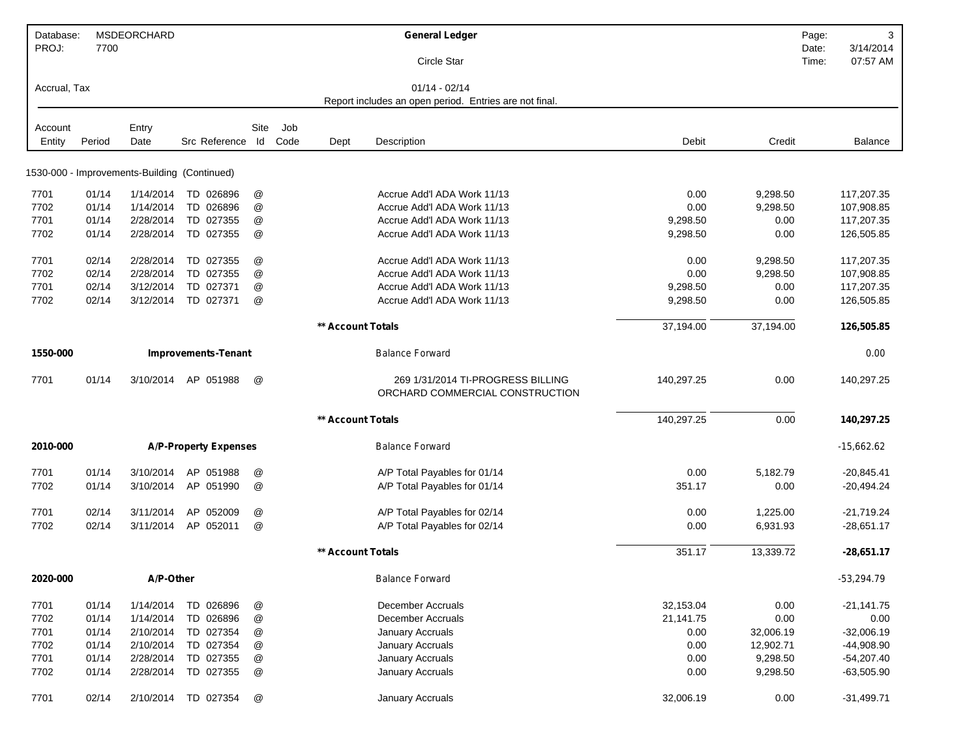| Database:<br>PROJ: | 7700   | MSDEORCHARD   |                                              |                           |             |                          | <b>General Ledger</b>                                                     |            |           | Page:<br>Date: | 3<br>3/14/2014 |
|--------------------|--------|---------------|----------------------------------------------|---------------------------|-------------|--------------------------|---------------------------------------------------------------------------|------------|-----------|----------------|----------------|
|                    |        |               |                                              |                           |             |                          | Circle Star                                                               |            |           | Time:          | 07:57 AM       |
| Accrual, Tax       |        |               |                                              |                           |             |                          | $01/14 - 02/14$<br>Report includes an open period. Entries are not final. |            |           |                |                |
|                    |        |               |                                              |                           |             |                          |                                                                           |            |           |                |                |
| Account<br>Entity  | Period | Entry<br>Date | Src Reference Id                             | Site                      | Job<br>Code | Dept                     | Description                                                               | Debit      | Credit    |                | <b>Balance</b> |
|                    |        |               |                                              |                           |             |                          |                                                                           |            |           |                |                |
|                    |        |               | 1530-000 - Improvements-Building (Continued) |                           |             |                          |                                                                           |            |           |                |                |
| 7701               | 01/14  | 1/14/2014     | TD 026896                                    | @                         |             |                          | Accrue Add'l ADA Work 11/13                                               | 0.00       | 9,298.50  |                | 117,207.35     |
| 7702               | 01/14  | 1/14/2014     | TD 026896                                    | @                         |             |                          | Accrue Add'l ADA Work 11/13                                               | 0.00       | 9,298.50  |                | 107,908.85     |
| 7701               | 01/14  | 2/28/2014     | TD 027355                                    | @                         |             |                          | Accrue Add'l ADA Work 11/13                                               | 9,298.50   | 0.00      |                | 117,207.35     |
| 7702               | 01/14  | 2/28/2014     | TD 027355                                    | @                         |             |                          | Accrue Add'l ADA Work 11/13                                               | 9,298.50   | 0.00      |                | 126,505.85     |
| 7701               | 02/14  | 2/28/2014     | TD 027355                                    | @                         |             |                          | Accrue Add'l ADA Work 11/13                                               | 0.00       | 9,298.50  |                | 117,207.35     |
| 7702               | 02/14  | 2/28/2014     | TD 027355                                    | @                         |             |                          | Accrue Add'l ADA Work 11/13                                               | 0.00       | 9,298.50  |                | 107,908.85     |
| 7701               | 02/14  | 3/12/2014     | TD 027371                                    | @                         |             |                          | Accrue Add'l ADA Work 11/13                                               | 9,298.50   | 0.00      |                | 117,207.35     |
| 7702               | 02/14  | 3/12/2014     | TD 027371                                    | @                         |             |                          | Accrue Add'l ADA Work 11/13                                               | 9,298.50   | 0.00      |                | 126,505.85     |
|                    |        |               |                                              |                           |             | <b>** Account Totals</b> |                                                                           | 37,194.00  | 37,194.00 |                | 126,505.85     |
|                    |        |               |                                              |                           |             |                          |                                                                           |            |           |                |                |
| 1550-000           |        |               | <b>Improvements-Tenant</b>                   |                           |             |                          | <b>Balance Forward</b>                                                    |            |           |                | 0.00           |
| 7701               | 01/14  | 3/10/2014     | AP 051988                                    | @                         |             |                          | 269 1/31/2014 TI-PROGRESS BILLING<br>ORCHARD COMMERCIAL CONSTRUCTION      | 140,297.25 | 0.00      |                | 140,297.25     |
|                    |        |               |                                              |                           |             | ** Account Totals        |                                                                           | 140,297.25 | 0.00      |                | 140,297.25     |
| 2010-000           |        |               | <b>A/P-Property Expenses</b>                 |                           |             |                          | <b>Balance Forward</b>                                                    |            |           |                | -15,662.62     |
| 7701               | 01/14  | 3/10/2014     | AP 051988                                    | @                         |             |                          | A/P Total Payables for 01/14                                              | 0.00       | 5,182.79  |                | $-20,845.41$   |
| 7702               | 01/14  | 3/10/2014     | AP 051990                                    | @                         |             |                          | A/P Total Payables for 01/14                                              | 351.17     | 0.00      |                | $-20,494.24$   |
| 7701               | 02/14  | 3/11/2014     | AP 052009                                    | @                         |             |                          | A/P Total Payables for 02/14                                              | 0.00       | 1,225.00  |                | $-21,719.24$   |
| 7702               | 02/14  |               | 3/11/2014 AP 052011                          | @                         |             |                          | A/P Total Payables for 02/14                                              | 0.00       | 6,931.93  |                | $-28,651.17$   |
|                    |        |               |                                              |                           |             | <b>** Account Totals</b> |                                                                           | 351.17     | 13,339.72 |                | $-28,651.17$   |
|                    |        |               |                                              |                           |             |                          |                                                                           |            |           |                |                |
| 2020-000           |        | A/P-Other     |                                              |                           |             |                          | <b>Balance Forward</b>                                                    |            |           |                | $-53,294.79$   |
| 7701               | 01/14  | 1/14/2014     | TD 026896                                    | $^\copyright$             |             |                          | December Accruals                                                         | 32,153.04  | 0.00      |                | $-21,141.75$   |
| 7702               | 01/14  | 1/14/2014     | TD 026896                                    | $^\copyright$             |             |                          | <b>December Accruals</b>                                                  | 21,141.75  | 0.00      |                | 0.00           |
| 7701               | 01/14  | 2/10/2014     | TD 027354                                    | $^\copyright$             |             |                          | January Accruals                                                          | 0.00       | 32,006.19 |                | $-32,006.19$   |
| 7702               | 01/14  | 2/10/2014     | TD 027354                                    | $^\text{\textregistered}$ |             |                          | January Accruals                                                          | 0.00       | 12,902.71 |                | -44,908.90     |
| 7701               | 01/14  | 2/28/2014     | TD 027355                                    | $^\copyright$             |             |                          | January Accruals                                                          | 0.00       | 9,298.50  |                | $-54,207.40$   |
| 7702               | 01/14  | 2/28/2014     | TD 027355                                    | @                         |             |                          | January Accruals                                                          | 0.00       | 9,298.50  |                | $-63,505.90$   |
| 7701               | 02/14  | 2/10/2014     | TD 027354                                    | @                         |             |                          | January Accruals                                                          | 32,006.19  | 0.00      |                | $-31,499.71$   |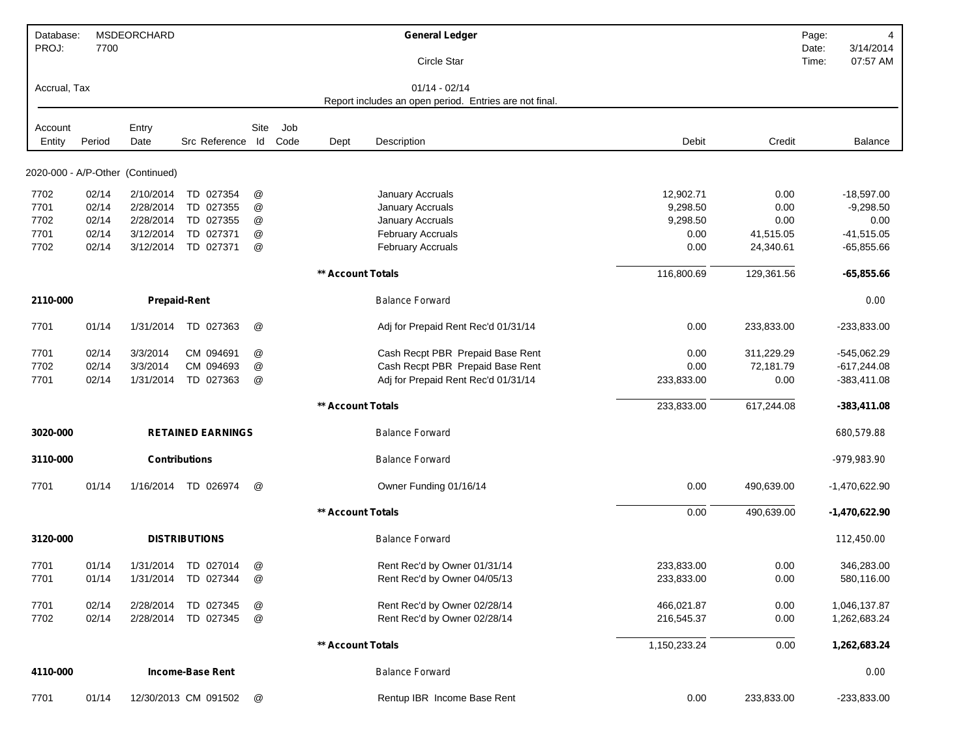| Database:<br>PROJ: | 7700   | MSDEORCHARD                      |                          |               |             |                   | <b>General Ledger</b><br>Circle Star                                      |              |            | Page:<br>Date:<br>Time: | 4<br>3/14/2014<br>07:57 AM |
|--------------------|--------|----------------------------------|--------------------------|---------------|-------------|-------------------|---------------------------------------------------------------------------|--------------|------------|-------------------------|----------------------------|
| Accrual, Tax       |        |                                  |                          |               |             |                   | $01/14 - 02/14$<br>Report includes an open period. Entries are not final. |              |            |                         |                            |
| Account<br>Entity  | Period | Entry<br>Date                    | Src Reference Id         | Site          | Job<br>Code | Dept              | Description                                                               | Debit        | Credit     |                         | <b>Balance</b>             |
|                    |        |                                  |                          |               |             |                   |                                                                           |              |            |                         |                            |
|                    |        | 2020-000 - A/P-Other (Continued) |                          |               |             |                   |                                                                           |              |            |                         |                            |
| 7702               | 02/14  | 2/10/2014                        | TD 027354                | @             |             |                   | January Accruals                                                          | 12,902.71    | 0.00       |                         | $-18,597.00$               |
| 7701               | 02/14  | 2/28/2014                        | TD 027355                | @             |             |                   | January Accruals                                                          | 9,298.50     | 0.00       |                         | $-9,298.50$                |
| 7702               | 02/14  | 2/28/2014                        | TD 027355                | @             |             |                   | January Accruals                                                          | 9,298.50     | 0.00       |                         | 0.00                       |
| 7701               | 02/14  | 3/12/2014                        | TD 027371                | @             |             |                   | <b>February Accruals</b>                                                  | 0.00         | 41,515.05  |                         | $-41,515.05$               |
| 7702               | 02/14  | 3/12/2014                        | TD 027371                | @             |             |                   | <b>February Accruals</b>                                                  | 0.00         | 24,340.61  |                         | $-65,855.66$               |
|                    |        |                                  |                          |               |             | ** Account Totals |                                                                           | 116,800.69   | 129,361.56 |                         | $-65,855.66$               |
| 2110-000           |        |                                  | <b>Prepaid-Rent</b>      |               |             |                   | <b>Balance Forward</b>                                                    |              |            |                         | 0.00                       |
| 7701               | 01/14  | 1/31/2014                        | TD 027363                | @             |             |                   | Adj for Prepaid Rent Rec'd 01/31/14                                       | 0.00         | 233,833.00 |                         | $-233,833.00$              |
| 7701               | 02/14  | 3/3/2014                         | CM 094691                | @             |             |                   | Cash Recpt PBR Prepaid Base Rent                                          | 0.00         | 311,229.29 |                         | $-545,062.29$              |
| 7702               | 02/14  | 3/3/2014                         | CM 094693                | @             |             |                   | Cash Recpt PBR Prepaid Base Rent                                          | 0.00         | 72,181.79  |                         | $-617,244.08$              |
| 7701               | 02/14  | 1/31/2014                        | TD 027363                | @             |             |                   | Adj for Prepaid Rent Rec'd 01/31/14                                       | 233,833.00   | 0.00       |                         | $-383,411.08$              |
|                    |        |                                  |                          |               |             | ** Account Totals |                                                                           | 233,833.00   | 617,244.08 |                         | $-383,411.08$              |
| 3020-000           |        |                                  | <b>RETAINED EARNINGS</b> |               |             |                   | <b>Balance Forward</b>                                                    |              |            |                         | 680,579.88                 |
| 3110-000           |        |                                  | <b>Contributions</b>     |               |             |                   | <b>Balance Forward</b>                                                    |              |            |                         | -979,983.90                |
| 7701               | 01/14  | 1/16/2014                        | TD 026974                | @             |             |                   | Owner Funding 01/16/14                                                    | 0.00         | 490,639.00 |                         | $-1,470,622.90$            |
|                    |        |                                  |                          |               |             | ** Account Totals |                                                                           | 0.00         | 490,639.00 |                         | $-1,470,622.90$            |
| 3120-000           |        |                                  | <b>DISTRIBUTIONS</b>     |               |             |                   | <b>Balance Forward</b>                                                    |              |            |                         | 112,450.00                 |
| 7701               | 01/14  |                                  | 1/31/2014 TD 027014      | @             |             |                   | Rent Rec'd by Owner 01/31/14                                              | 233,833.00   | 0.00       |                         | 346,283.00                 |
| 7701               | 01/14  |                                  | 1/31/2014 TD 027344      | $^\copyright$ |             |                   | Rent Rec'd by Owner 04/05/13                                              | 233,833.00   | 0.00       |                         | 580,116.00                 |
| 7701               | 02/14  | 2/28/2014                        | TD 027345                | $^\copyright$ |             |                   | Rent Rec'd by Owner 02/28/14                                              | 466,021.87   | 0.00       |                         | 1,046,137.87               |
| 7702               | 02/14  | 2/28/2014                        | TD 027345                | $^\copyright$ |             |                   | Rent Rec'd by Owner 02/28/14                                              |              |            |                         |                            |
|                    |        |                                  |                          |               |             |                   |                                                                           | 216,545.37   | 0.00       |                         | 1,262,683.24               |
|                    |        |                                  |                          |               |             | ** Account Totals |                                                                           | 1,150,233.24 | 0.00       |                         | 1,262,683.24               |
| 4110-000           |        |                                  | <b>Income-Base Rent</b>  |               |             |                   | <b>Balance Forward</b>                                                    |              |            |                         | 0.00                       |
| 7701               | 01/14  |                                  | 12/30/2013 CM 091502     | @             |             |                   | Rentup IBR Income Base Rent                                               | 0.00         | 233,833.00 |                         | $-233,833.00$              |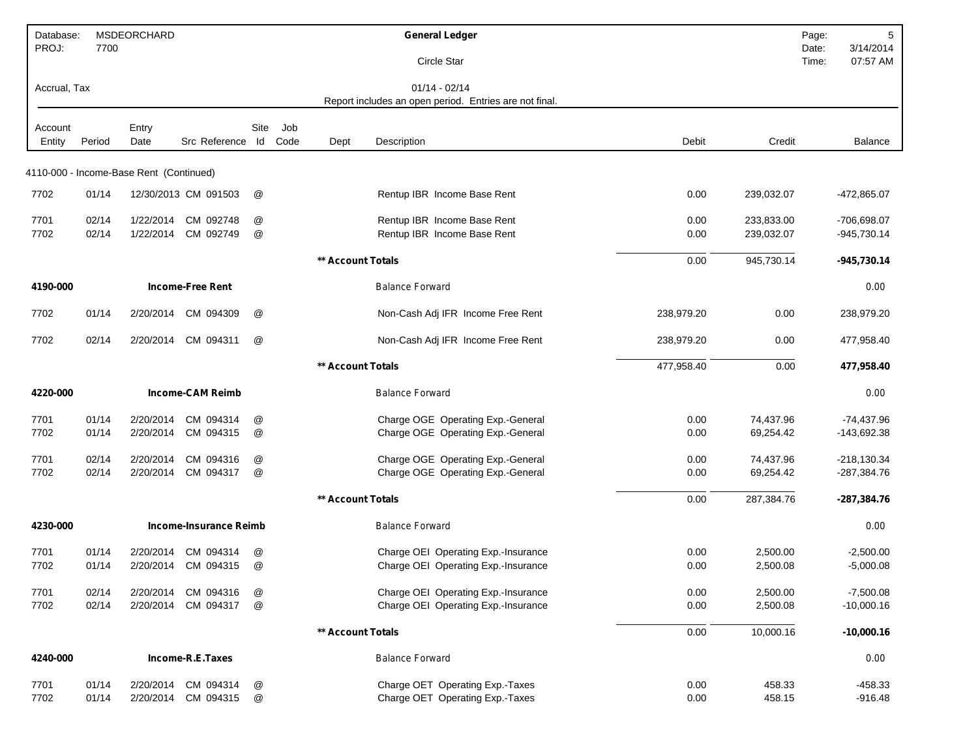| Database:<br>PROJ: | 7700           | MSDEORCHARD                             |                               |               |      |                          | <b>General Ledger</b><br>Circle Star                   |            |            | Page:<br>Date:<br>Time: | 5<br>3/14/2014<br>07:57 AM |
|--------------------|----------------|-----------------------------------------|-------------------------------|---------------|------|--------------------------|--------------------------------------------------------|------------|------------|-------------------------|----------------------------|
| Accrual, Tax       |                |                                         |                               |               |      |                          | $01/14 - 02/14$                                        |            |            |                         |                            |
|                    |                |                                         |                               |               |      |                          | Report includes an open period. Entries are not final. |            |            |                         |                            |
| Account            |                | Entry                                   |                               | Site          | Job  |                          |                                                        |            |            |                         |                            |
| Entity             | Period         | Date                                    | Src Reference                 | $\mathsf{Id}$ | Code | Dept                     | Description                                            | Debit      | Credit     |                         | <b>Balance</b>             |
|                    |                | 4110-000 - Income-Base Rent (Continued) |                               |               |      |                          |                                                        |            |            |                         |                            |
| 7702               | 01/14          |                                         | 12/30/2013 CM 091503          | @             |      |                          | Rentup IBR Income Base Rent                            | 0.00       | 239,032.07 |                         | -472,865.07                |
|                    |                |                                         |                               |               |      |                          |                                                        |            |            |                         |                            |
| 7701<br>7702       | 02/14<br>02/14 | 1/22/2014<br>1/22/2014                  | CM 092748<br>CM 092749        | @             |      |                          | Rentup IBR Income Base Rent                            | 0.00       | 233,833.00 |                         | -706,698.07                |
|                    |                |                                         |                               | @             |      |                          | Rentup IBR Income Base Rent                            | 0.00       | 239,032.07 |                         | $-945,730.14$              |
|                    |                |                                         |                               |               |      | ** Account Totals        |                                                        | 0.00       | 945,730.14 |                         | $-945,730.14$              |
| 4190-000           |                |                                         | <b>Income-Free Rent</b>       |               |      |                          | <b>Balance Forward</b>                                 |            |            |                         | 0.00                       |
| 7702               | 01/14          | 2/20/2014                               | CM 094309                     | @             |      |                          | Non-Cash Adj IFR Income Free Rent                      | 238,979.20 | 0.00       |                         | 238,979.20                 |
| 7702               | 02/14          | 2/20/2014                               | CM 094311                     | @             |      |                          | Non-Cash Adj IFR Income Free Rent                      | 238,979.20 | 0.00       |                         | 477,958.40                 |
|                    |                |                                         |                               |               |      | <b>** Account Totals</b> |                                                        | 477,958.40 | 0.00       |                         | 477,958.40                 |
| 4220-000           |                |                                         | <b>Income-CAM Reimb</b>       |               |      |                          | <b>Balance Forward</b>                                 |            |            |                         | 0.00                       |
| 7701               | 01/14          | 2/20/2014                               | CM 094314                     | @             |      |                          | Charge OGE Operating Exp.-General                      | 0.00       | 74,437.96  |                         | $-74,437.96$               |
| 7702               | 01/14          | 2/20/2014                               | CM 094315                     | @             |      |                          | Charge OGE Operating Exp.-General                      | 0.00       | 69,254.42  |                         | -143,692.38                |
| 7701               | 02/14          | 2/20/2014                               | CM 094316                     | @             |      |                          | Charge OGE Operating Exp.-General                      | 0.00       | 74,437.96  |                         | $-218,130.34$              |
| 7702               | 02/14          | 2/20/2014                               | CM 094317                     | @             |      |                          | Charge OGE Operating Exp.-General                      | 0.00       | 69,254.42  |                         | $-287,384.76$              |
|                    |                |                                         |                               |               |      | ** Account Totals        |                                                        | 0.00       | 287,384.76 |                         | $-287,384.76$              |
| 4230-000           |                |                                         | <b>Income-Insurance Reimb</b> |               |      |                          | <b>Balance Forward</b>                                 |            |            |                         | 0.00                       |
| 7701               | 01/14          | 2/20/2014                               | CM 094314                     | @             |      |                          | Charge OEI Operating Exp.-Insurance                    | 0.00       | 2,500.00   |                         | $-2,500.00$                |
| 7702               | 01/14          | 2/20/2014                               | CM 094315                     | @             |      |                          | Charge OEI Operating Exp.-Insurance                    | 0.00       | 2,500.08   |                         | $-5,000.08$                |
| 7701               | 02/14          | 2/20/2014                               | CM 094316                     | @             |      |                          | Charge OEI Operating Exp.-Insurance                    | 0.00       | 2,500.00   |                         | $-7,500.08$                |
| 7702               | 02/14          | 2/20/2014                               | CM 094317                     | @             |      |                          | Charge OEI Operating Exp.-Insurance                    | 0.00       | 2,500.08   |                         | $-10,000.16$               |
|                    |                |                                         |                               |               |      | ** Account Totals        |                                                        | 0.00       | 10,000.16  |                         | $-10,000.16$               |
| 4240-000           |                |                                         | Income-R.E.Taxes              |               |      |                          | <b>Balance Forward</b>                                 |            |            |                         | 0.00                       |
| 7701               | 01/14          | 2/20/2014                               | CM 094314                     | @             |      |                          | Charge OET Operating Exp.-Taxes                        | 0.00       | 458.33     |                         | $-458.33$                  |
| 7702               | 01/14          | 2/20/2014                               | CM 094315                     | @             |      |                          | Charge OET Operating Exp.-Taxes                        | 0.00       | 458.15     |                         | $-916.48$                  |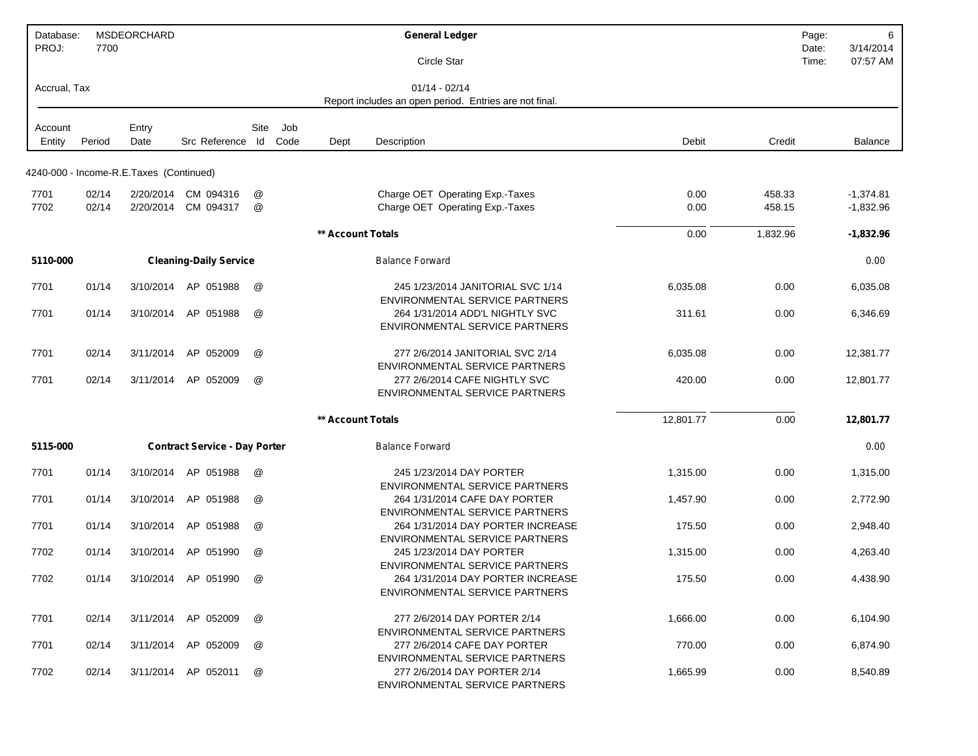| Database:<br>PROJ: | 7700   | MSDEORCHARD                             |                                      |                 |             |                   | <b>General Ledger</b>                                                                                 |           |          | 6<br>Page:<br>3/14/2014<br>Date: |
|--------------------|--------|-----------------------------------------|--------------------------------------|-----------------|-------------|-------------------|-------------------------------------------------------------------------------------------------------|-----------|----------|----------------------------------|
|                    |        |                                         |                                      |                 |             |                   | Circle Star                                                                                           |           |          | 07:57 AM<br>Time:                |
| Accrual, Tax       |        |                                         |                                      |                 |             |                   | $01/14 - 02/14$<br>Report includes an open period. Entries are not final.                             |           |          |                                  |
| Account<br>Entity  | Period | Entry<br>Date                           | Src Reference Id                     | Site            | Job<br>Code | Dept              | Description                                                                                           | Debit     | Credit   | <b>Balance</b>                   |
|                    |        |                                         |                                      |                 |             |                   |                                                                                                       |           |          |                                  |
|                    |        | 4240-000 - Income-R.E.Taxes (Continued) |                                      |                 |             |                   |                                                                                                       |           |          |                                  |
| 7701               | 02/14  |                                         | 2/20/2014 CM 094316                  | @               |             |                   | Charge OET Operating Exp.-Taxes                                                                       | 0.00      | 458.33   | $-1,374.81$                      |
| 7702               | 02/14  |                                         | 2/20/2014 CM 094317                  | @               |             |                   | Charge OET Operating Exp.-Taxes                                                                       | 0.00      | 458.15   | $-1,832.96$                      |
|                    |        |                                         |                                      |                 |             | ** Account Totals |                                                                                                       | 0.00      | 1,832.96 | $-1,832.96$                      |
| 5110-000           |        |                                         | <b>Cleaning-Daily Service</b>        |                 |             |                   | <b>Balance Forward</b>                                                                                |           |          | 0.00                             |
| 7701               | 01/14  | 3/10/2014                               | AP 051988                            | @               |             |                   | 245 1/23/2014 JANITORIAL SVC 1/14<br>ENVIRONMENTAL SERVICE PARTNERS                                   | 6,035.08  | 0.00     | 6,035.08                         |
| 7701               | 01/14  |                                         | 3/10/2014 AP 051988                  | @               |             |                   | 264 1/31/2014 ADD'L NIGHTLY SVC<br><b>ENVIRONMENTAL SERVICE PARTNERS</b>                              | 311.61    | 0.00     | 6,346.69                         |
| 7701               | 02/14  | 3/11/2014                               | AP 052009                            | @               |             |                   | 277 2/6/2014 JANITORIAL SVC 2/14<br>ENVIRONMENTAL SERVICE PARTNERS                                    | 6,035.08  | 0.00     | 12,381.77                        |
| 7701               | 02/14  | 3/11/2014                               | AP 052009                            | $^{\copyright}$ |             |                   | 277 2/6/2014 CAFE NIGHTLY SVC<br>ENVIRONMENTAL SERVICE PARTNERS                                       | 420.00    | 0.00     | 12,801.77                        |
|                    |        |                                         |                                      |                 |             | ** Account Totals |                                                                                                       | 12,801.77 | 0.00     | 12,801.77                        |
| 5115-000           |        |                                         | <b>Contract Service - Day Porter</b> |                 |             |                   | <b>Balance Forward</b>                                                                                |           |          | 0.00                             |
| 7701               | 01/14  | 3/10/2014                               | AP 051988                            | @               |             |                   | 245 1/23/2014 DAY PORTER<br>ENVIRONMENTAL SERVICE PARTNERS                                            | 1,315.00  | 0.00     | 1,315.00                         |
| 7701               | 01/14  | 3/10/2014                               | AP 051988                            | @               |             |                   | 264 1/31/2014 CAFE DAY PORTER                                                                         | 1,457.90  | 0.00     | 2,772.90                         |
| 7701               | 01/14  | 3/10/2014                               | AP 051988                            | @               |             |                   | ENVIRONMENTAL SERVICE PARTNERS<br>264 1/31/2014 DAY PORTER INCREASE<br>ENVIRONMENTAL SERVICE PARTNERS | 175.50    | 0.00     | 2,948.40                         |
| 7702               | 01/14  | 3/10/2014                               | AP 051990                            | @               |             |                   | 245 1/23/2014 DAY PORTER<br>ENVIRONMENTAL SERVICE PARTNERS                                            | 1,315.00  | 0.00     | 4,263.40                         |
| 7702               | 01/14  |                                         | 3/10/2014 AP 051990                  | @               |             |                   | 264 1/31/2014 DAY PORTER INCREASE<br>ENVIRONMENTAL SERVICE PARTNERS                                   | 175.50    | 0.00     | 4,438.90                         |
| 7701               | 02/14  |                                         | 3/11/2014 AP 052009                  | @               |             |                   | 277 2/6/2014 DAY PORTER 2/14<br>ENVIRONMENTAL SERVICE PARTNERS                                        | 1,666.00  | 0.00     | 6,104.90                         |
| 7701               | 02/14  |                                         | 3/11/2014 AP 052009                  | @               |             |                   | 277 2/6/2014 CAFE DAY PORTER<br>ENVIRONMENTAL SERVICE PARTNERS                                        | 770.00    | 0.00     | 6,874.90                         |
| 7702               | 02/14  |                                         | 3/11/2014 AP 052011                  | @               |             |                   | 277 2/6/2014 DAY PORTER 2/14<br>ENVIRONMENTAL SERVICE PARTNERS                                        | 1,665.99  | 0.00     | 8,540.89                         |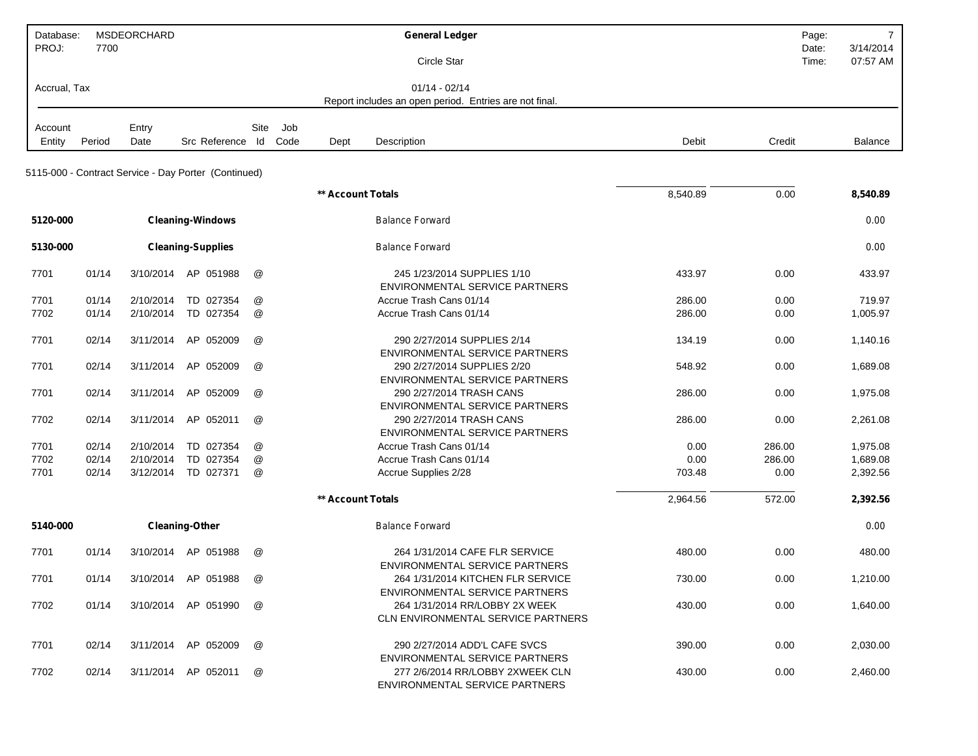| Database:    |        | <b>MSDEORCHARD</b> |                                                      |                      |      |                   | <b>General Ledger</b>                                                                                                |          | Page:          | $\overline{7}$        |
|--------------|--------|--------------------|------------------------------------------------------|----------------------|------|-------------------|----------------------------------------------------------------------------------------------------------------------|----------|----------------|-----------------------|
| PROJ:        | 7700   |                    |                                                      |                      |      |                   | Circle Star                                                                                                          |          | Date:<br>Time: | 3/14/2014<br>07:57 AM |
| Accrual, Tax |        |                    |                                                      |                      |      |                   | $01/14 - 02/14$<br>Report includes an open period. Entries are not final.                                            |          |                |                       |
|              |        |                    |                                                      |                      |      |                   |                                                                                                                      |          |                |                       |
| Account      |        | Entry              |                                                      | Site                 | Job  |                   |                                                                                                                      |          |                |                       |
| Entity       | Period | Date               | Src Reference Id                                     |                      | Code | Dept              | Description                                                                                                          | Debit    | Credit         | Balance               |
|              |        |                    | 5115-000 - Contract Service - Day Porter (Continued) |                      |      |                   |                                                                                                                      |          |                |                       |
|              |        |                    |                                                      |                      |      | ** Account Totals |                                                                                                                      | 8,540.89 | 0.00           | 8,540.89              |
| 5120-000     |        |                    | <b>Cleaning-Windows</b>                              |                      |      |                   | <b>Balance Forward</b>                                                                                               |          |                | 0.00                  |
| 5130-000     |        |                    | <b>Cleaning-Supplies</b>                             |                      |      |                   | <b>Balance Forward</b>                                                                                               |          |                | 0.00                  |
| 7701         | 01/14  | 3/10/2014          | AP 051988                                            | @                    |      |                   | 245 1/23/2014 SUPPLIES 1/10<br><b>ENVIRONMENTAL SERVICE PARTNERS</b>                                                 | 433.97   | 0.00           | 433.97                |
| 7701         | 01/14  | 2/10/2014          | TD 027354                                            | @                    |      |                   | Accrue Trash Cans 01/14                                                                                              | 286.00   | 0.00           | 719.97                |
| 7702         | 01/14  | 2/10/2014          | TD 027354                                            | @                    |      |                   | Accrue Trash Cans 01/14                                                                                              | 286.00   | 0.00           | 1,005.97              |
| 7701         | 02/14  | 3/11/2014          | AP 052009                                            | @                    |      |                   | 290 2/27/2014 SUPPLIES 2/14<br><b>ENVIRONMENTAL SERVICE PARTNERS</b>                                                 | 134.19   | 0.00           | 1,140.16              |
| 7701         | 02/14  | 3/11/2014          | AP 052009                                            | @                    |      |                   | 290 2/27/2014 SUPPLIES 2/20<br>ENVIRONMENTAL SERVICE PARTNERS                                                        | 548.92   | 0.00           | 1,689.08              |
| 7701         | 02/14  | 3/11/2014          | 052009<br>AP                                         | @                    |      |                   | 290 2/27/2014 TRASH CANS<br><b>ENVIRONMENTAL SERVICE PARTNERS</b>                                                    | 286.00   | 0.00           | 1,975.08              |
| 7702         | 02/14  | 3/11/2014          | AP 052011                                            | @                    |      |                   | 290 2/27/2014 TRASH CANS<br><b>ENVIRONMENTAL SERVICE PARTNERS</b>                                                    | 286.00   | 0.00           | 2,261.08              |
| 7701         | 02/14  | 2/10/2014          | TD 027354                                            | @                    |      |                   | Accrue Trash Cans 01/14                                                                                              | 0.00     | 286.00         | 1,975.08              |
| 7702         | 02/14  | 2/10/2014          | TD 027354                                            | @                    |      |                   | Accrue Trash Cans 01/14                                                                                              | 0.00     | 286.00         | 1,689.08              |
| 7701         | 02/14  | 3/12/2014          | TD 027371                                            | @                    |      |                   | Accrue Supplies 2/28                                                                                                 | 703.48   | 0.00           | 2,392.56              |
|              |        |                    |                                                      |                      |      | ** Account Totals |                                                                                                                      | 2,964.56 | 572.00         | 2,392.56              |
| 5140-000     |        |                    | <b>Cleaning-Other</b>                                |                      |      |                   | <b>Balance Forward</b>                                                                                               |          |                | 0.00                  |
| 7701         | 01/14  |                    | 3/10/2014 AP 051988                                  | $^{\textregistered}$ |      |                   | 264 1/31/2014 CAFE FLR SERVICE                                                                                       | 480.00   | 0.00           | 480.00                |
| 7701         | 01/14  |                    | 3/10/2014 AP 051988                                  | @                    |      |                   | <b>ENVIRONMENTAL SERVICE PARTNERS</b><br>264 1/31/2014 KITCHEN FLR SERVICE                                           | 730.00   | 0.00           | 1,210.00              |
| 7702         | 01/14  |                    | 3/10/2014 AP 051990                                  | @                    |      |                   | <b>ENVIRONMENTAL SERVICE PARTNERS</b><br>264 1/31/2014 RR/LOBBY 2X WEEK<br><b>CLN ENVIRONMENTAL SERVICE PARTNERS</b> | 430.00   | 0.00           | 1,640.00              |
| 7701         | 02/14  |                    | 3/11/2014 AP 052009                                  | @                    |      |                   | 290 2/27/2014 ADD'L CAFE SVCS<br><b>ENVIRONMENTAL SERVICE PARTNERS</b>                                               | 390.00   | 0.00           | 2,030.00              |
| 7702         | 02/14  |                    | 3/11/2014 AP 052011                                  | @                    |      |                   | 277 2/6/2014 RR/LOBBY 2XWEEK CLN<br>ENVIRONMENTAL SERVICE PARTNERS                                                   | 430.00   | 0.00           | 2,460.00              |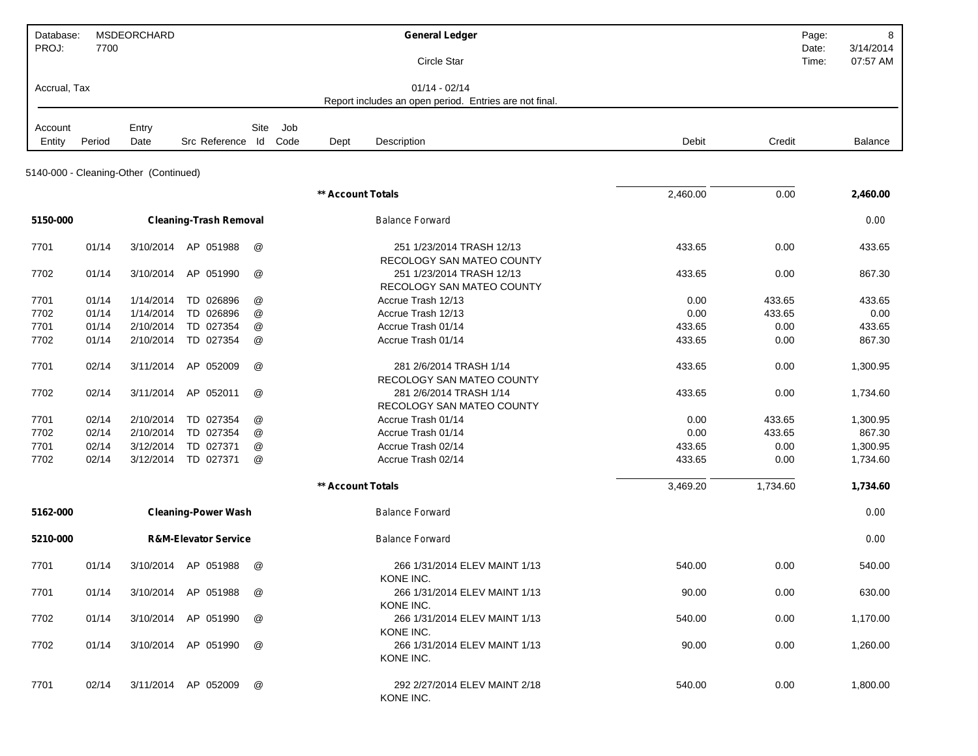| Database:    |        | MSDEORCHARD                           |                                 |                           |      |                   | <b>General Ledger</b>                                  |          |          | 8<br>Page:                              |
|--------------|--------|---------------------------------------|---------------------------------|---------------------------|------|-------------------|--------------------------------------------------------|----------|----------|-----------------------------------------|
| PROJ:        | 7700   |                                       |                                 |                           |      |                   | Circle Star                                            |          |          | 3/14/2014<br>Date:<br>07:57 AM<br>Time: |
|              |        |                                       |                                 |                           |      |                   |                                                        |          |          |                                         |
| Accrual, Tax |        |                                       |                                 |                           |      |                   | $01/14 - 02/14$                                        |          |          |                                         |
|              |        |                                       |                                 |                           |      |                   | Report includes an open period. Entries are not final. |          |          |                                         |
| Account      |        | Entry                                 |                                 | Site                      | Job  |                   |                                                        |          |          |                                         |
| Entity       | Period | Date                                  | Src Reference Id                |                           | Code | Dept              | Description                                            | Debit    | Credit   | Balance                                 |
|              |        |                                       |                                 |                           |      |                   |                                                        |          |          |                                         |
|              |        | 5140-000 - Cleaning-Other (Continued) |                                 |                           |      |                   |                                                        |          |          |                                         |
|              |        |                                       |                                 |                           |      | ** Account Totals |                                                        | 2,460.00 | 0.00     | 2,460.00                                |
|              |        |                                       |                                 |                           |      |                   |                                                        |          |          |                                         |
| 5150-000     |        |                                       | <b>Cleaning-Trash Removal</b>   |                           |      |                   | <b>Balance Forward</b>                                 |          |          | 0.00                                    |
| 7701         | 01/14  | 3/10/2014                             | AP 051988                       | @                         |      |                   | 251 1/23/2014 TRASH 12/13                              | 433.65   | 0.00     | 433.65                                  |
|              |        |                                       |                                 |                           |      |                   | RECOLOGY SAN MATEO COUNTY                              |          |          |                                         |
| 7702         | 01/14  | 3/10/2014                             | AP 051990                       | @                         |      |                   | 251 1/23/2014 TRASH 12/13                              | 433.65   | 0.00     | 867.30                                  |
|              |        |                                       |                                 |                           |      |                   | RECOLOGY SAN MATEO COUNTY                              |          |          |                                         |
| 7701         | 01/14  | 1/14/2014                             | TD 026896                       | @                         |      |                   | Accrue Trash 12/13                                     | 0.00     | 433.65   | 433.65                                  |
| 7702         | 01/14  | 1/14/2014                             | TD 026896                       | @                         |      |                   | Accrue Trash 12/13                                     | 0.00     | 433.65   | 0.00                                    |
| 7701         | 01/14  | 2/10/2014                             | TD 027354                       | @                         |      |                   | Accrue Trash 01/14                                     | 433.65   | 0.00     | 433.65                                  |
| 7702         | 01/14  | 2/10/2014                             | TD 027354                       | @                         |      |                   | Accrue Trash 01/14                                     | 433.65   | 0.00     | 867.30                                  |
| 7701         | 02/14  | 3/11/2014                             | AP 052009                       | @                         |      |                   | 281 2/6/2014 TRASH 1/14                                | 433.65   | 0.00     | 1,300.95                                |
|              |        |                                       |                                 |                           |      |                   | RECOLOGY SAN MATEO COUNTY                              |          |          |                                         |
| 7702         | 02/14  | 3/11/2014                             | AP 052011                       | @                         |      |                   | 281 2/6/2014 TRASH 1/14                                | 433.65   | 0.00     | 1,734.60                                |
|              |        |                                       |                                 |                           |      |                   | RECOLOGY SAN MATEO COUNTY                              |          |          |                                         |
| 7701         | 02/14  | 2/10/2014                             | TD 027354                       | @                         |      |                   | Accrue Trash 01/14                                     | 0.00     | 433.65   | 1,300.95                                |
| 7702         | 02/14  | 2/10/2014                             | TD 027354                       | @                         |      |                   | Accrue Trash 01/14                                     | 0.00     | 433.65   | 867.30                                  |
| 7701         | 02/14  | 3/12/2014                             | TD 027371                       | $^\text{\textregistered}$ |      |                   | Accrue Trash 02/14                                     | 433.65   | 0.00     | 1,300.95                                |
| 7702         | 02/14  | 3/12/2014                             | TD 027371                       | @                         |      |                   | Accrue Trash 02/14                                     | 433.65   | 0.00     | 1,734.60                                |
|              |        |                                       |                                 |                           |      | ** Account Totals |                                                        | 3,469.20 | 1,734.60 | 1,734.60                                |
|              |        |                                       |                                 |                           |      |                   |                                                        |          |          |                                         |
| 5162-000     |        |                                       | <b>Cleaning-Power Wash</b>      |                           |      |                   | <b>Balance Forward</b>                                 |          |          | 0.00                                    |
| 5210-000     |        |                                       | <b>R&amp;M-Elevator Service</b> |                           |      |                   | <b>Balance Forward</b>                                 |          |          | 0.00                                    |
| 7701         | 01/14  |                                       | 3/10/2014 AP 051988             | @                         |      |                   | 266 1/31/2014 ELEV MAINT 1/13                          | 540.00   | 0.00     | 540.00                                  |
|              |        |                                       |                                 |                           |      |                   | KONE INC.                                              |          |          |                                         |
| 7701         | 01/14  |                                       | 3/10/2014 AP 051988             | @                         |      |                   | 266 1/31/2014 ELEV MAINT 1/13                          | 90.00    | 0.00     | 630.00                                  |
|              |        |                                       |                                 |                           |      |                   | KONE INC.                                              |          |          |                                         |
| 7702         | 01/14  |                                       | 3/10/2014 AP 051990             | @                         |      |                   | 266 1/31/2014 ELEV MAINT 1/13<br>KONE INC.             | 540.00   | 0.00     | 1,170.00                                |
| 7702         | 01/14  |                                       | 3/10/2014 AP 051990             | @                         |      |                   | 266 1/31/2014 ELEV MAINT 1/13                          | 90.00    | 0.00     | 1,260.00                                |
|              |        |                                       |                                 |                           |      |                   | KONE INC.                                              |          |          |                                         |
|              |        |                                       |                                 |                           |      |                   |                                                        |          |          |                                         |
| 7701         | 02/14  |                                       | 3/11/2014 AP 052009             | @                         |      |                   | 292 2/27/2014 ELEV MAINT 2/18                          | 540.00   | 0.00     | 1,800.00                                |
|              |        |                                       |                                 |                           |      |                   | KONE INC.                                              |          |          |                                         |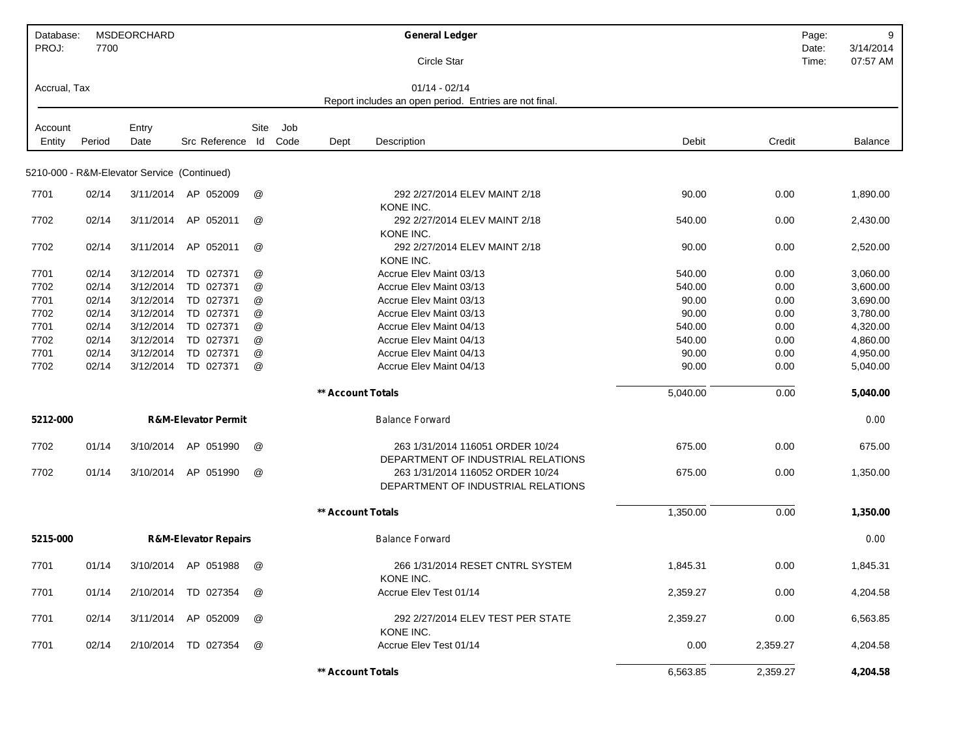| Database:<br>PROJ: | 7700           | MSDEORCHARD                                 |                                 |                           |     |                          | <b>General Ledger</b><br>Circle Star                                      |                | Page:<br>Date:<br>Time: | 9<br>3/14/2014<br>07:57 AM |
|--------------------|----------------|---------------------------------------------|---------------------------------|---------------------------|-----|--------------------------|---------------------------------------------------------------------------|----------------|-------------------------|----------------------------|
| Accrual, Tax       |                |                                             |                                 |                           |     |                          | $01/14 - 02/14$<br>Report includes an open period. Entries are not final. |                |                         |                            |
|                    |                |                                             |                                 |                           |     |                          |                                                                           |                |                         |                            |
| Account            |                | Entry                                       |                                 | Site                      | Job |                          |                                                                           |                |                         |                            |
| Entity             | Period         | Date                                        | Src Reference Id Code           |                           |     | Dept                     | Description                                                               | Debit          | Credit                  | <b>Balance</b>             |
|                    |                | 5210-000 - R&M-Elevator Service (Continued) |                                 |                           |     |                          |                                                                           |                |                         |                            |
| 7701               | 02/14          | 3/11/2014                                   | AP 052009                       | @                         |     |                          | 292 2/27/2014 ELEV MAINT 2/18<br>KONE INC.                                | 90.00          | 0.00                    | 1,890.00                   |
| 7702               | 02/14          | 3/11/2014                                   | AP.<br>052011                   | @                         |     |                          | 292 2/27/2014 ELEV MAINT 2/18<br>KONE INC.                                | 540.00         | 0.00                    | 2,430.00                   |
| 7702               | 02/14          | 3/11/2014                                   | AP 052011                       | @                         |     |                          | 292 2/27/2014 ELEV MAINT 2/18<br>KONE INC.                                | 90.00          | 0.00                    | 2,520.00                   |
| 7701               | 02/14          | 3/12/2014                                   | TD 027371                       | @                         |     |                          | Accrue Elev Maint 03/13                                                   | 540.00         | 0.00                    | 3,060.00                   |
| 7702               | 02/14          | 3/12/2014                                   | TD 027371                       | @                         |     |                          | Accrue Elev Maint 03/13                                                   | 540.00         | 0.00                    | 3,600.00                   |
| 7701               | 02/14          | 3/12/2014                                   | TD 027371                       | $^\copyright$             |     |                          | Accrue Elev Maint 03/13                                                   | 90.00          | 0.00                    | 3,690.00                   |
| 7702               | 02/14          | 3/12/2014                                   | TD 027371                       | @                         |     |                          | Accrue Elev Maint 03/13                                                   | 90.00          | 0.00                    | 3,780.00                   |
| 7701               | 02/14          | 3/12/2014                                   | TD 027371                       | $^\text{\textregistered}$ |     |                          | Accrue Elev Maint 04/13                                                   | 540.00         | 0.00                    | 4,320.00                   |
| 7702<br>7701       | 02/14<br>02/14 | 3/12/2014<br>3/12/2014                      | TD 027371<br>TD 027371          | $^\text{\textregistered}$ |     |                          | Accrue Elev Maint 04/13<br>Accrue Elev Maint 04/13                        | 540.00         | 0.00                    | 4,860.00<br>4,950.00       |
| 7702               | 02/14          | 3/12/2014                                   | TD 027371                       | @<br>@                    |     |                          | Accrue Elev Maint 04/13                                                   | 90.00<br>90.00 | 0.00<br>0.00            | 5,040.00                   |
|                    |                |                                             |                                 |                           |     |                          |                                                                           |                |                         |                            |
|                    |                |                                             |                                 |                           |     | <b>** Account Totals</b> |                                                                           | 5,040.00       | 0.00                    | 5,040.00                   |
| 5212-000           |                |                                             | <b>R&amp;M-Elevator Permit</b>  |                           |     |                          | <b>Balance Forward</b>                                                    |                |                         | 0.00                       |
| 7702               | 01/14          | 3/10/2014                                   | AP 051990                       | $^{\textregistered}$      |     |                          | 263 1/31/2014 116051 ORDER 10/24<br>DEPARTMENT OF INDUSTRIAL RELATIONS    | 675.00         | 0.00                    | 675.00                     |
| 7702               | 01/14          | 3/10/2014                                   | AP 051990                       | @                         |     |                          | 263 1/31/2014 116052 ORDER 10/24<br>DEPARTMENT OF INDUSTRIAL RELATIONS    | 675.00         | 0.00                    | 1,350.00                   |
|                    |                |                                             |                                 |                           |     | ** Account Totals        |                                                                           | 1,350.00       | 0.00                    | 1,350.00                   |
| 5215-000           |                |                                             | <b>R&amp;M-Elevator Repairs</b> |                           |     |                          | <b>Balance Forward</b>                                                    |                |                         | 0.00                       |
| 7701               | 01/14          |                                             | 3/10/2014 AP 051988             | @                         |     |                          | 266 1/31/2014 RESET CNTRL SYSTEM<br>KONE INC.                             | 1,845.31       | 0.00                    | 1,845.31                   |
| 7701               | 01/14          |                                             | 2/10/2014 TD 027354             | @                         |     |                          | Accrue Elev Test 01/14                                                    | 2,359.27       | 0.00                    | 4,204.58                   |
| 7701               | 02/14          |                                             | 3/11/2014 AP 052009             | @                         |     |                          | 292 2/27/2014 ELEV TEST PER STATE<br>KONE INC.                            | 2,359.27       | 0.00                    | 6,563.85                   |
| 7701               | 02/14          |                                             | 2/10/2014 TD 027354             | @                         |     |                          | Accrue Elev Test 01/14                                                    | 0.00           | 2,359.27                | 4,204.58                   |
|                    |                |                                             |                                 |                           |     | ** Account Totals        |                                                                           | 6,563.85       | 2,359.27                | 4,204.58                   |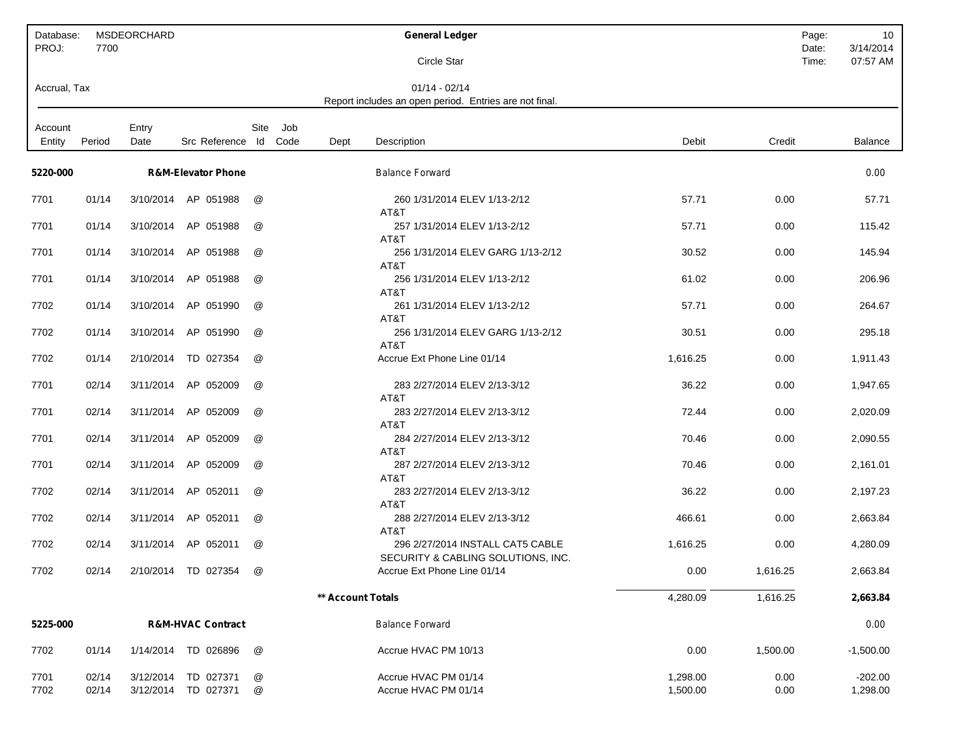| Database:<br>PROJ: | 7700           | MSDEORCHARD   |                                  |                                |             |                   | <b>General Ledger</b>                                                     |                      |              | 10<br>Page:<br>3/14/2014<br>Date: |
|--------------------|----------------|---------------|----------------------------------|--------------------------------|-------------|-------------------|---------------------------------------------------------------------------|----------------------|--------------|-----------------------------------|
|                    |                |               |                                  |                                |             |                   | <b>Circle Star</b>                                                        |                      |              | 07:57 AM<br>Time:                 |
| Accrual, Tax       |                |               |                                  |                                |             |                   | $01/14 - 02/14$<br>Report includes an open period. Entries are not final. |                      |              |                                   |
| Account<br>Entity  | Period         | Entry<br>Date | Src Reference Id                 | Site                           | Job<br>Code | Dept              | Description                                                               | Debit                | Credit       | <b>Balance</b>                    |
| 5220-000           |                |               | <b>R&amp;M-Elevator Phone</b>    |                                |             |                   | <b>Balance Forward</b>                                                    |                      |              | 0.00                              |
| 7701               | 01/14          | 3/10/2014     | AP 051988                        | @                              |             |                   | 260 1/31/2014 ELEV 1/13-2/12<br>AT&T                                      | 57.71                | 0.00         | 57.71                             |
| 7701               | 01/14          | 3/10/2014     | AP 051988                        | @                              |             |                   | 257 1/31/2014 ELEV 1/13-2/12<br>AT&T                                      | 57.71                | 0.00         | 115.42                            |
| 7701               | 01/14          | 3/10/2014     | AP 051988                        | @                              |             |                   | 256 1/31/2014 ELEV GARG 1/13-2/12<br>AT&T                                 | 30.52                | 0.00         | 145.94                            |
| 7701               | 01/14          | 3/10/2014     | AP 051988                        | @                              |             |                   | 256 1/31/2014 ELEV 1/13-2/12<br>AT&T                                      | 61.02                | 0.00         | 206.96                            |
| 7702               | 01/14          | 3/10/2014     | AP 051990                        | @                              |             |                   | 261 1/31/2014 ELEV 1/13-2/12<br>AT&T                                      | 57.71                | 0.00         | 264.67                            |
| 7702               | 01/14          | 3/10/2014     | AP 051990                        | @                              |             |                   | 256 1/31/2014 ELEV GARG 1/13-2/12<br>AT&T                                 | 30.51                | 0.00         | 295.18                            |
| 7702               | 01/14          | 2/10/2014     | TD 027354                        | @                              |             |                   | Accrue Ext Phone Line 01/14                                               | 1,616.25             | 0.00         | 1,911.43                          |
| 7701               | 02/14          | 3/11/2014     | AP 052009                        | @                              |             |                   | 283 2/27/2014 ELEV 2/13-3/12<br>AT&T                                      | 36.22                | 0.00         | 1,947.65                          |
| 7701               | 02/14          | 3/11/2014     | AP 052009                        | @                              |             |                   | 283 2/27/2014 ELEV 2/13-3/12<br>AT&T                                      | 72.44                | 0.00         | 2,020.09                          |
| 7701               | 02/14          | 3/11/2014     | AP 052009                        | @                              |             |                   | 284 2/27/2014 ELEV 2/13-3/12<br>AT&T                                      | 70.46                | 0.00         | 2,090.55                          |
| 7701               | 02/14          | 3/11/2014     | AP 052009                        | @                              |             |                   | 287 2/27/2014 ELEV 2/13-3/12<br>AT&T                                      | 70.46                | 0.00         | 2,161.01                          |
| 7702               | 02/14          | 3/11/2014     | AP 052011                        | @                              |             |                   | 283 2/27/2014 ELEV 2/13-3/12<br>AT&T                                      | 36.22                | 0.00         | 2,197.23                          |
| 7702               | 02/14          | 3/11/2014     | AP 052011                        | @                              |             |                   | 288 2/27/2014 ELEV 2/13-3/12<br>AT&T                                      | 466.61               | 0.00         | 2,663.84                          |
| 7702               | 02/14          | 3/11/2014     | AP 052011                        | @                              |             |                   | 296 2/27/2014 INSTALL CAT5 CABLE<br>SECURITY & CABLING SOLUTIONS, INC.    | 1,616.25             | 0.00         | 4,280.09                          |
| 7702               | 02/14          |               | 2/10/2014 TD 027354              | @                              |             |                   | Accrue Ext Phone Line 01/14                                               | 0.00                 | 1,616.25     | 2,663.84                          |
|                    |                |               |                                  |                                |             | ** Account Totals |                                                                           | 4,280.09             | 1,616.25     | 2,663.84                          |
| 5225-000           |                |               | <b>R&amp;M-HVAC Contract</b>     |                                |             |                   | <b>Balance Forward</b>                                                    |                      |              | 0.00                              |
| 7702               | 01/14          |               | 1/14/2014 TD 026896              | @                              |             |                   | Accrue HVAC PM 10/13                                                      | 0.00                 | 1,500.00     | $-1,500.00$                       |
| 7701<br>7702       | 02/14<br>02/14 | 3/12/2014     | TD 027371<br>3/12/2014 TD 027371 | @<br>$^\text{\textregistered}$ |             |                   | Accrue HVAC PM 01/14<br>Accrue HVAC PM 01/14                              | 1,298.00<br>1,500.00 | 0.00<br>0.00 | $-202.00$<br>1,298.00             |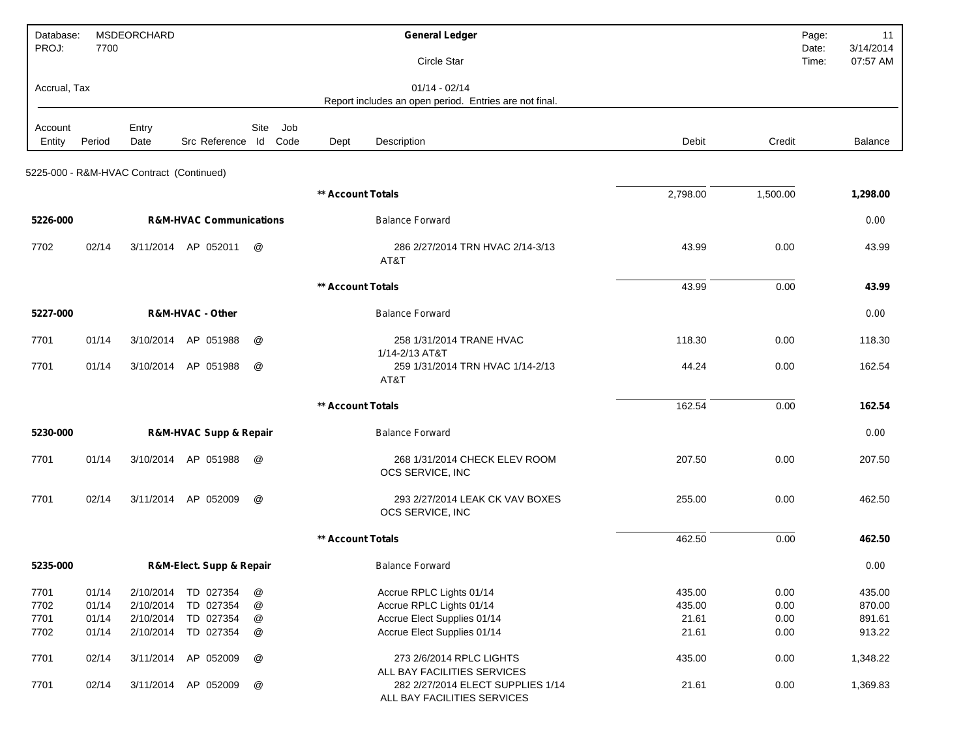| Database:<br>PROJ: | 7700   | MSDEORCHARD                              |                                       |                           |                          | <b>General Ledger</b>                                            |          |          | Page:<br>11<br>3/14/2014<br>Date: |
|--------------------|--------|------------------------------------------|---------------------------------------|---------------------------|--------------------------|------------------------------------------------------------------|----------|----------|-----------------------------------|
|                    |        |                                          |                                       |                           |                          | Circle Star                                                      |          |          | 07:57 AM<br>Time:                 |
| Accrual, Tax       |        |                                          |                                       |                           |                          | $01/14 - 02/14$                                                  |          |          |                                   |
|                    |        |                                          |                                       |                           |                          | Report includes an open period. Entries are not final.           |          |          |                                   |
| Account            |        | Entry                                    |                                       | Site<br>Job               |                          |                                                                  |          |          |                                   |
| Entity             | Period | Date                                     | Src Reference Id                      | Code                      | Dept                     | Description                                                      | Debit    | Credit   | Balance                           |
|                    |        | 5225-000 - R&M-HVAC Contract (Continued) |                                       |                           |                          |                                                                  |          |          |                                   |
|                    |        |                                          |                                       |                           | <b>** Account Totals</b> |                                                                  | 2,798.00 | 1,500.00 | 1,298.00                          |
| 5226-000           |        |                                          | <b>R&amp;M-HVAC Communications</b>    |                           |                          | <b>Balance Forward</b>                                           |          |          | 0.00                              |
| 7702               | 02/14  | 3/11/2014                                | AP 052011                             | @                         |                          | 286 2/27/2014 TRN HVAC 2/14-3/13<br>AT&T                         | 43.99    | 0.00     | 43.99                             |
|                    |        |                                          |                                       |                           | <b>** Account Totals</b> |                                                                  | 43.99    | 0.00     | 43.99                             |
| 5227-000           |        |                                          | R&M-HVAC - Other                      |                           |                          | <b>Balance Forward</b>                                           |          |          | 0.00                              |
| 7701               | 01/14  | 3/10/2014                                | AP 051988                             | @                         |                          | 258 1/31/2014 TRANE HVAC<br>1/14-2/13 AT&T                       | 118.30   | 0.00     | 118.30                            |
| 7701               | 01/14  | 3/10/2014                                | AP 051988                             | @                         |                          | 259 1/31/2014 TRN HVAC 1/14-2/13<br>AT&T                         | 44.24    | 0.00     | 162.54                            |
|                    |        |                                          |                                       |                           | <b>** Account Totals</b> |                                                                  | 162.54   | 0.00     | 162.54                            |
| 5230-000           |        |                                          | <b>R&amp;M-HVAC Supp &amp; Repair</b> |                           |                          | <b>Balance Forward</b>                                           |          |          | 0.00                              |
| 7701               | 01/14  | 3/10/2014                                | AP 051988                             | @                         |                          | 268 1/31/2014 CHECK ELEV ROOM<br>OCS SERVICE, INC                | 207.50   | 0.00     | 207.50                            |
| 7701               | 02/14  | 3/11/2014                                | AP 052009                             | @                         |                          | 293 2/27/2014 LEAK CK VAV BOXES<br>OCS SERVICE, INC              | 255.00   | 0.00     | 462.50                            |
|                    |        |                                          |                                       |                           | ** Account Totals        |                                                                  | 462.50   | 0.00     | 462.50                            |
| 5235-000           |        |                                          | R&M-Elect. Supp & Repair              |                           |                          | <b>Balance Forward</b>                                           |          |          | 0.00                              |
| 7701               | 01/14  | 2/10/2014                                | TD 027354                             | $^\copyright$             |                          | Accrue RPLC Lights 01/14                                         | 435.00   | 0.00     | 435.00                            |
| 7702               | 01/14  | 2/10/2014                                | TD 027354                             | $^\text{\textregistered}$ |                          | Accrue RPLC Lights 01/14                                         | 435.00   | 0.00     | 870.00                            |
| 7701               | 01/14  | 2/10/2014                                | TD 027354                             | $^\text{\textregistered}$ |                          | Accrue Elect Supplies 01/14                                      | 21.61    | 0.00     | 891.61                            |
| 7702               | 01/14  | 2/10/2014                                | TD 027354                             | $^\copyright$             |                          | Accrue Elect Supplies 01/14                                      | 21.61    | 0.00     | 913.22                            |
| 7701               | 02/14  | 3/11/2014                                | AP 052009                             | $^\copyright$             |                          | 273 2/6/2014 RPLC LIGHTS<br>ALL BAY FACILITIES SERVICES          | 435.00   | 0.00     | 1,348.22                          |
| 7701               | 02/14  |                                          | 3/11/2014 AP 052009                   | @                         |                          | 282 2/27/2014 ELECT SUPPLIES 1/14<br>ALL BAY FACILITIES SERVICES | 21.61    | 0.00     | 1,369.83                          |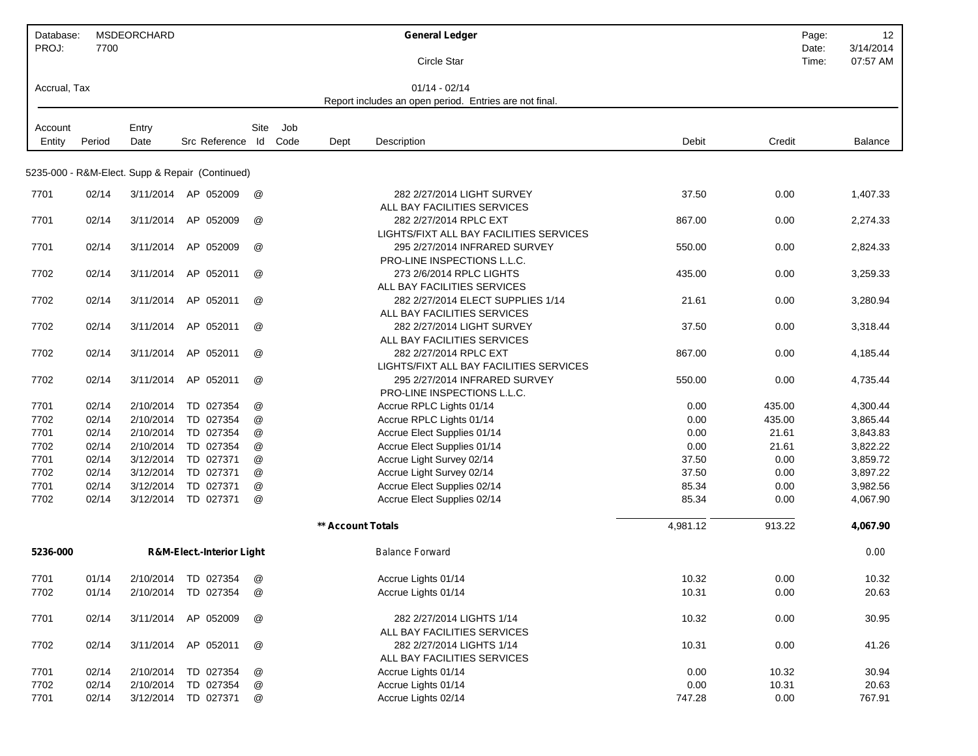| Database:<br>PROJ: | 7700   | <b>MSDEORCHARD</b> |                                                 |               |      |                   | <b>General Ledger</b>                                  |          | Page:<br>Date: | 12<br>3/14/2014 |
|--------------------|--------|--------------------|-------------------------------------------------|---------------|------|-------------------|--------------------------------------------------------|----------|----------------|-----------------|
|                    |        |                    |                                                 |               |      |                   | Circle Star                                            |          | Time:          | 07:57 AM        |
| Accrual, Tax       |        |                    |                                                 |               |      |                   | $01/14 - 02/14$                                        |          |                |                 |
|                    |        |                    |                                                 |               |      |                   | Report includes an open period. Entries are not final. |          |                |                 |
| Account            |        | Entry              |                                                 | Site          | Job  |                   |                                                        |          |                |                 |
| Entity             | Period | Date               | Src Reference Id                                |               | Code | Dept              | Description                                            | Debit    | Credit         | Balance         |
|                    |        |                    |                                                 |               |      |                   |                                                        |          |                |                 |
|                    |        |                    | 5235-000 - R&M-Elect. Supp & Repair (Continued) |               |      |                   |                                                        |          |                |                 |
| 7701               | 02/14  |                    | 3/11/2014 AP 052009                             | @             |      |                   | 282 2/27/2014 LIGHT SURVEY                             | 37.50    | 0.00           | 1,407.33        |
|                    |        |                    |                                                 |               |      |                   | ALL BAY FACILITIES SERVICES                            |          |                |                 |
| 7701               | 02/14  | 3/11/2014          | AP 052009                                       | @             |      |                   | 282 2/27/2014 RPLC EXT                                 | 867.00   | 0.00           | 2,274.33        |
|                    |        |                    |                                                 |               |      |                   | LIGHTS/FIXT ALL BAY FACILITIES SERVICES                |          |                |                 |
| 7701               | 02/14  | 3/11/2014          | AP 052009                                       | @             |      |                   | 295 2/27/2014 INFRARED SURVEY                          | 550.00   | 0.00           | 2,824.33        |
|                    |        |                    |                                                 |               |      |                   | PRO-LINE INSPECTIONS L.L.C.                            |          |                |                 |
| 7702               | 02/14  | 3/11/2014          | AP 052011                                       | @             |      |                   | 273 2/6/2014 RPLC LIGHTS                               | 435.00   | 0.00           | 3,259.33        |
|                    |        |                    |                                                 |               |      |                   | ALL BAY FACILITIES SERVICES                            |          |                |                 |
| 7702               | 02/14  | 3/11/2014          | AP 052011                                       | @             |      |                   | 282 2/27/2014 ELECT SUPPLIES 1/14                      | 21.61    | 0.00           | 3,280.94        |
|                    |        |                    |                                                 |               |      |                   | ALL BAY FACILITIES SERVICES                            |          |                |                 |
| 7702               | 02/14  | 3/11/2014          | AP 052011                                       | @             |      |                   | 282 2/27/2014 LIGHT SURVEY                             | 37.50    | 0.00           | 3,318.44        |
|                    |        |                    |                                                 |               |      |                   | ALL BAY FACILITIES SERVICES                            |          |                |                 |
| 7702               | 02/14  | 3/11/2014          | AP 052011                                       | @             |      |                   | 282 2/27/2014 RPLC EXT                                 | 867.00   | 0.00           | 4,185.44        |
|                    |        |                    |                                                 |               |      |                   | LIGHTS/FIXT ALL BAY FACILITIES SERVICES                |          |                |                 |
| 7702               | 02/14  | 3/11/2014          | AP 052011                                       | @             |      |                   | 295 2/27/2014 INFRARED SURVEY                          | 550.00   | 0.00           | 4,735.44        |
|                    |        |                    |                                                 |               |      |                   | PRO-LINE INSPECTIONS L.L.C.                            |          |                |                 |
| 7701               | 02/14  | 2/10/2014          | TD 027354                                       | @             |      |                   | Accrue RPLC Lights 01/14                               | 0.00     | 435.00         | 4,300.44        |
| 7702               | 02/14  | 2/10/2014          | TD 027354                                       | @             |      |                   | Accrue RPLC Lights 01/14                               | 0.00     | 435.00         | 3,865.44        |
| 7701               | 02/14  | 2/10/2014          | TD 027354                                       | @             |      |                   | Accrue Elect Supplies 01/14                            | 0.00     | 21.61          | 3,843.83        |
| 7702               | 02/14  | 2/10/2014          | TD 027354                                       | @             |      |                   | Accrue Elect Supplies 01/14                            | 0.00     | 21.61          | 3,822.22        |
| 7701               | 02/14  | 3/12/2014          | TD 027371                                       | $^\copyright$ |      |                   | Accrue Light Survey 02/14                              | 37.50    | 0.00           | 3,859.72        |
| 7702               | 02/14  | 3/12/2014          | TD 027371                                       | @             |      |                   | Accrue Light Survey 02/14                              | 37.50    | 0.00           | 3,897.22        |
| 7701               | 02/14  | 3/12/2014          | TD 027371                                       | @             |      |                   | Accrue Elect Supplies 02/14                            | 85.34    | 0.00           | 3,982.56        |
| 7702               | 02/14  | 3/12/2014          | TD 027371                                       | @             |      |                   | Accrue Elect Supplies 02/14                            | 85.34    | 0.00           | 4,067.90        |
|                    |        |                    |                                                 |               |      | ** Account Totals |                                                        | 4,981.12 | 913.22         | 4,067.90        |
| 5236-000           |        |                    | <b>R&amp;M-Elect.-Interior Light</b>            |               |      |                   | <b>Balance Forward</b>                                 |          |                | 0.00            |
| 7701               | 01/14  |                    | 2/10/2014 TD 027354                             | @             |      |                   | Accrue Lights 01/14                                    | 10.32    | 0.00           | 10.32           |
| 7702               | 01/14  | 2/10/2014          | TD 027354                                       | @             |      |                   | Accrue Lights 01/14                                    | 10.31    | 0.00           | 20.63           |
|                    |        |                    |                                                 |               |      |                   |                                                        |          |                |                 |
| 7701               | 02/14  |                    | 3/11/2014 AP 052009                             | $^\copyright$ |      |                   | 282 2/27/2014 LIGHTS 1/14                              | 10.32    | 0.00           | 30.95           |
|                    |        |                    |                                                 |               |      |                   | ALL BAY FACILITIES SERVICES                            |          |                |                 |
| 7702               | 02/14  |                    | 3/11/2014 AP 052011                             | $^\copyright$ |      |                   | 282 2/27/2014 LIGHTS 1/14                              | 10.31    | 0.00           | 41.26           |
|                    |        |                    |                                                 |               |      |                   | ALL BAY FACILITIES SERVICES                            |          |                |                 |
| 7701               | 02/14  | 2/10/2014          | TD 027354                                       | @             |      |                   | Accrue Lights 01/14                                    | 0.00     | 10.32          | 30.94           |
| 7702               | 02/14  | 2/10/2014          | TD 027354                                       | @             |      |                   | Accrue Lights 01/14                                    | 0.00     | 10.31          | 20.63           |
| 7701               | 02/14  |                    | 3/12/2014 TD 027371                             | $^\copyright$ |      |                   | Accrue Lights 02/14                                    | 747.28   | 0.00           | 767.91          |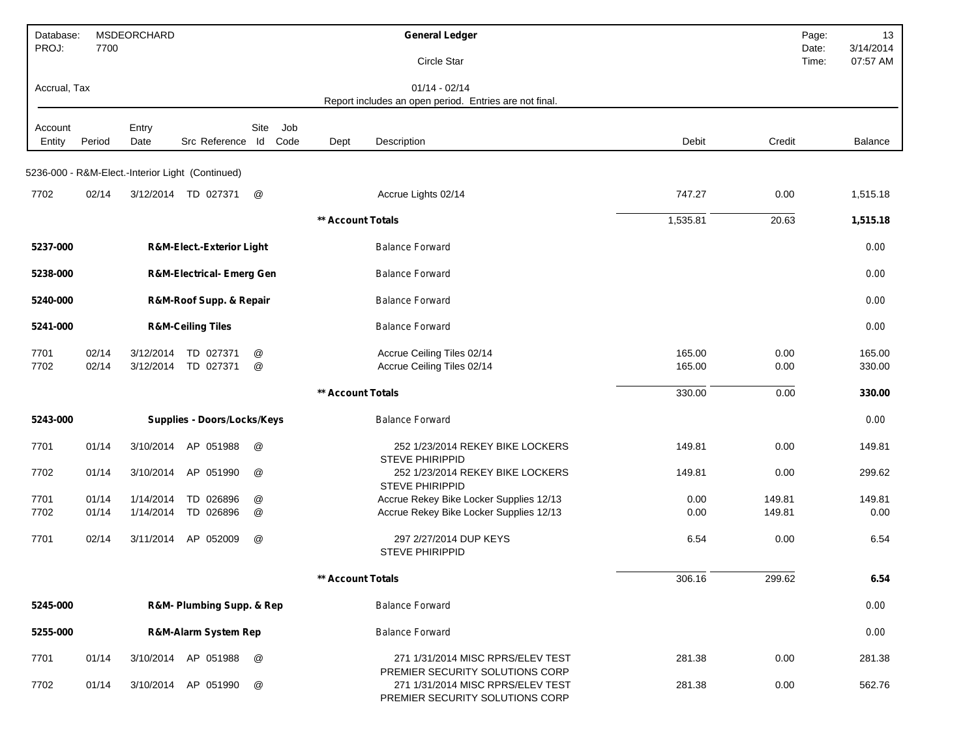| Database:<br>PROJ: | 7700           | <b>MSDEORCHARD</b>     |                                                  |            |                          | <b>General Ledger</b>                                                                                   |                  |                  | Page:<br>13<br>3/14/2014<br>Date: |
|--------------------|----------------|------------------------|--------------------------------------------------|------------|--------------------------|---------------------------------------------------------------------------------------------------------|------------------|------------------|-----------------------------------|
|                    |                |                        |                                                  |            |                          | Circle Star                                                                                             |                  |                  | 07:57 AM<br>Time:                 |
| Accrual, Tax       |                |                        |                                                  |            |                          | $01/14 - 02/14$<br>Report includes an open period. Entries are not final.                               |                  |                  |                                   |
| Account<br>Entity  | Period         | Entry<br>Date          | Src Reference                                    | Site<br>ld | Job<br>Code<br>Dept      | Description                                                                                             | Debit            | Credit           | Balance                           |
|                    |                |                        | 5236-000 - R&M-Elect.-Interior Light (Continued) |            |                          |                                                                                                         |                  |                  |                                   |
| 7702               | 02/14          |                        | 3/12/2014 TD 027371                              | @          |                          | Accrue Lights 02/14                                                                                     | 747.27           | 0.00             | 1,515.18                          |
|                    |                |                        |                                                  |            | ** Account Totals        |                                                                                                         | 1,535.81         | 20.63            | 1,515.18                          |
| 5237-000           |                |                        | <b>R&amp;M-Elect.-Exterior Light</b>             |            |                          | <b>Balance Forward</b>                                                                                  |                  |                  | 0.00                              |
| 5238-000           |                |                        | <b>R&amp;M-Electrical- Emerg Gen</b>             |            |                          | <b>Balance Forward</b>                                                                                  |                  |                  | 0.00                              |
| 5240-000           |                |                        | R&M-Roof Supp. & Repair                          |            |                          | <b>Balance Forward</b>                                                                                  |                  |                  | 0.00                              |
| 5241-000           |                |                        | <b>R&amp;M-Ceiling Tiles</b>                     |            |                          | <b>Balance Forward</b>                                                                                  |                  |                  | 0.00                              |
| 7701<br>7702       | 02/14<br>02/14 | 3/12/2014<br>3/12/2014 | TD 027371<br>TD 027371                           | @<br>@     |                          | Accrue Ceiling Tiles 02/14<br>Accrue Ceiling Tiles 02/14                                                | 165.00<br>165.00 | 0.00<br>0.00     | 165.00<br>330.00                  |
|                    |                |                        |                                                  |            | <b>** Account Totals</b> |                                                                                                         | 330.00           | 0.00             | 330.00                            |
| 5243-000           |                |                        | <b>Supplies - Doors/Locks/Keys</b>               |            |                          | <b>Balance Forward</b>                                                                                  |                  |                  | 0.00                              |
| 7701               | 01/14          | 3/10/2014              | AP 051988                                        | @          |                          | 252 1/23/2014 REKEY BIKE LOCKERS<br><b>STEVE PHIRIPPID</b>                                              | 149.81           | 0.00             | 149.81                            |
| 7702               | 01/14          | 3/10/2014              | AP 051990                                        | @          |                          | 252 1/23/2014 REKEY BIKE LOCKERS<br><b>STEVE PHIRIPPID</b>                                              | 149.81           | 0.00             | 299.62                            |
| 7701<br>7702       | 01/14<br>01/14 | 1/14/2014<br>1/14/2014 | TD 026896<br>TD 026896                           | @<br>@     |                          | Accrue Rekey Bike Locker Supplies 12/13<br>Accrue Rekey Bike Locker Supplies 12/13                      | 0.00<br>0.00     | 149.81<br>149.81 | 149.81<br>0.00                    |
| 7701               | 02/14          | 3/11/2014              | AP 052009                                        | @          |                          | 297 2/27/2014 DUP KEYS<br>STEVE PHIRIPPID                                                               | 6.54             | 0.00             | 6.54                              |
|                    |                |                        |                                                  |            | ** Account Totals        |                                                                                                         | 306.16           | 299.62           | 6.54                              |
| 5245-000           |                |                        | R&M- Plumbing Supp. & Rep                        |            |                          | <b>Balance Forward</b>                                                                                  |                  |                  | 0.00                              |
| 5255-000           |                |                        | R&M-Alarm System Rep                             |            |                          | <b>Balance Forward</b>                                                                                  |                  |                  | 0.00                              |
| 7701               | 01/14          |                        | 3/10/2014 AP 051988                              | @          |                          | 271 1/31/2014 MISC RPRS/ELEV TEST                                                                       | 281.38           | 0.00             | 281.38                            |
| 7702               | 01/14          |                        | 3/10/2014 AP 051990                              | @          |                          | PREMIER SECURITY SOLUTIONS CORP<br>271 1/31/2014 MISC RPRS/ELEV TEST<br>PREMIER SECURITY SOLUTIONS CORP | 281.38           | 0.00             | 562.76                            |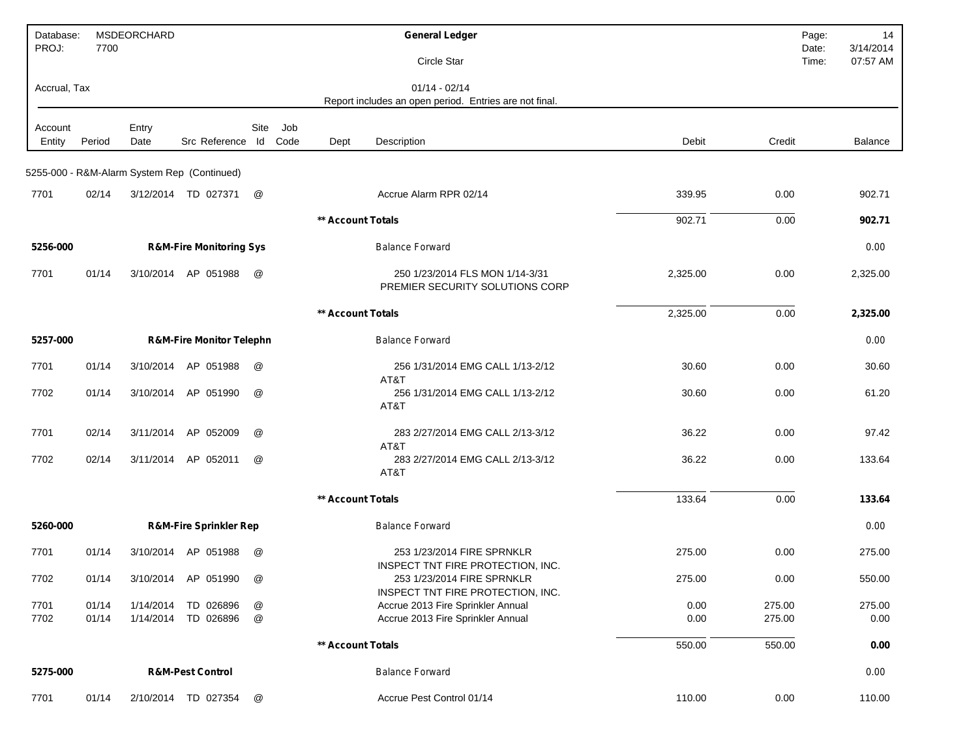| Database:<br>PROJ: | 7700   | MSDEORCHARD |                                             |                      |     |                   | <b>General Ledger</b>                                                     |          |        | Page:<br>Date: | 14<br>3/14/2014 |
|--------------------|--------|-------------|---------------------------------------------|----------------------|-----|-------------------|---------------------------------------------------------------------------|----------|--------|----------------|-----------------|
|                    |        |             |                                             |                      |     |                   | Circle Star                                                               |          |        | Time:          | 07:57 AM        |
| Accrual, Tax       |        |             |                                             |                      |     |                   | $01/14 - 02/14$<br>Report includes an open period. Entries are not final. |          |        |                |                 |
| Account            |        | Entry       |                                             | Site                 | Job |                   |                                                                           |          |        |                |                 |
| Entity             | Period | Date        | Src Reference Id Code                       |                      |     | Dept              | Description                                                               | Debit    | Credit |                | Balance         |
|                    |        |             | 5255-000 - R&M-Alarm System Rep (Continued) |                      |     |                   |                                                                           |          |        |                |                 |
| 7701               | 02/14  |             | 3/12/2014 TD 027371                         | @                    |     |                   | Accrue Alarm RPR 02/14                                                    | 339.95   | 0.00   |                | 902.71          |
|                    |        |             |                                             |                      |     | ** Account Totals |                                                                           | 902.71   | 0.00   |                | 902.71          |
| 5256-000           |        |             | <b>R&amp;M-Fire Monitoring Sys</b>          |                      |     |                   | <b>Balance Forward</b>                                                    |          |        |                | 0.00            |
| 7701               | 01/14  |             | 3/10/2014 AP 051988                         | @                    |     |                   | 250 1/23/2014 FLS MON 1/14-3/31<br>PREMIER SECURITY SOLUTIONS CORP        | 2,325.00 | 0.00   |                | 2,325.00        |
|                    |        |             |                                             |                      |     | ** Account Totals |                                                                           | 2,325.00 | 0.00   |                | 2,325.00        |
| 5257-000           |        |             | <b>R&amp;M-Fire Monitor Telephn</b>         |                      |     |                   | <b>Balance Forward</b>                                                    |          |        |                | 0.00            |
| 7701               | 01/14  | 3/10/2014   | AP 051988                                   | @                    |     |                   | 256 1/31/2014 EMG CALL 1/13-2/12<br>AT&T                                  | 30.60    | 0.00   |                | 30.60           |
| 7702               | 01/14  |             | 3/10/2014 AP 051990                         | @                    |     |                   | 256 1/31/2014 EMG CALL 1/13-2/12<br>AT&T                                  | 30.60    | 0.00   |                | 61.20           |
| 7701               | 02/14  | 3/11/2014   | AP 052009                                   | @                    |     |                   | 283 2/27/2014 EMG CALL 2/13-3/12<br>AT&T                                  | 36.22    | 0.00   |                | 97.42           |
| 7702               | 02/14  | 3/11/2014   | AP 052011                                   | @                    |     |                   | 283 2/27/2014 EMG CALL 2/13-3/12<br>AT&T                                  | 36.22    | 0.00   |                | 133.64          |
|                    |        |             |                                             |                      |     | ** Account Totals |                                                                           | 133.64   | 0.00   |                | 133.64          |
| 5260-000           |        |             | <b>R&amp;M-Fire Sprinkler Rep</b>           |                      |     |                   | <b>Balance Forward</b>                                                    |          |        |                | 0.00            |
| 7701               | 01/14  |             | 3/10/2014 AP 051988                         | $^{\textregistered}$ |     |                   | 253 1/23/2014 FIRE SPRNKLR<br>INSPECT TNT FIRE PROTECTION, INC.           | 275.00   | 0.00   |                | 275.00          |
| 7702               | 01/14  |             | 3/10/2014 AP 051990                         | @                    |     |                   | 253 1/23/2014 FIRE SPRNKLR<br>INSPECT TNT FIRE PROTECTION, INC.           | 275.00   | 0.00   |                | 550.00          |
| 7701               | 01/14  |             | 1/14/2014 TD 026896                         | @                    |     |                   | Accrue 2013 Fire Sprinkler Annual                                         | 0.00     | 275.00 |                | 275.00          |
| 7702               | 01/14  |             | 1/14/2014 TD 026896                         | @                    |     |                   | Accrue 2013 Fire Sprinkler Annual                                         | 0.00     | 275.00 |                | 0.00            |
|                    |        |             |                                             |                      |     | ** Account Totals |                                                                           | 550.00   | 550.00 |                | 0.00            |
| 5275-000           |        |             | <b>R&amp;M-Pest Control</b>                 |                      |     |                   | <b>Balance Forward</b>                                                    |          |        |                | 0.00            |
| 7701               | 01/14  |             | 2/10/2014 TD 027354                         | @                    |     |                   | Accrue Pest Control 01/14                                                 | 110.00   | 0.00   |                | 110.00          |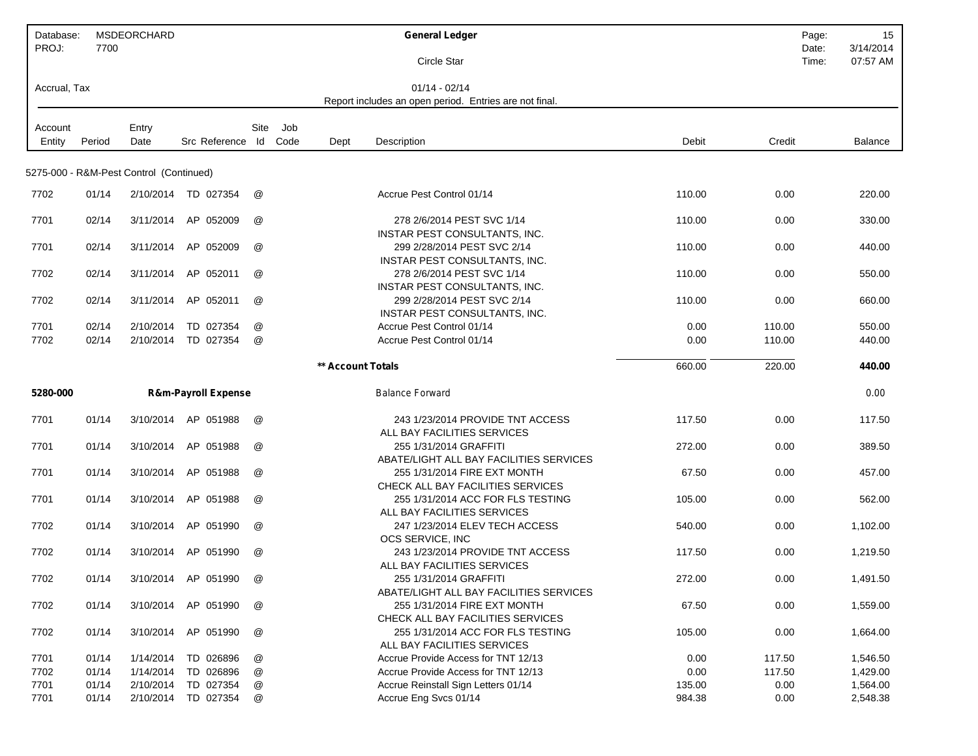| Database:    |        | MSDEORCHARD                             |                                |                      |     |                   | <b>General Ledger</b>                                                  |        |        | Page: | 15             |
|--------------|--------|-----------------------------------------|--------------------------------|----------------------|-----|-------------------|------------------------------------------------------------------------|--------|--------|-------|----------------|
| PROJ:        | 7700   |                                         |                                |                      |     |                   |                                                                        |        |        | Date: | 3/14/2014      |
|              |        |                                         |                                |                      |     |                   | Circle Star                                                            |        |        | Time: | 07:57 AM       |
| Accrual, Tax |        |                                         |                                |                      |     |                   | $01/14 - 02/14$                                                        |        |        |       |                |
|              |        |                                         |                                |                      |     |                   | Report includes an open period. Entries are not final.                 |        |        |       |                |
|              |        |                                         |                                |                      |     |                   |                                                                        |        |        |       |                |
| Account      |        | Entry                                   |                                | Site                 | Job |                   |                                                                        |        |        |       |                |
| Entity       | Period | Date                                    | Src Reference Id Code          |                      |     | Dept              | Description                                                            | Debit  | Credit |       | <b>Balance</b> |
|              |        |                                         |                                |                      |     |                   |                                                                        |        |        |       |                |
|              |        | 5275-000 - R&M-Pest Control (Continued) |                                |                      |     |                   |                                                                        |        |        |       |                |
| 7702         | 01/14  |                                         | 2/10/2014 TD 027354            | @                    |     |                   | Accrue Pest Control 01/14                                              | 110.00 | 0.00   |       | 220.00         |
|              |        |                                         |                                |                      |     |                   |                                                                        |        |        |       |                |
| 7701         | 02/14  | 3/11/2014                               | AP 052009                      | @                    |     |                   | 278 2/6/2014 PEST SVC 1/14                                             | 110.00 | 0.00   |       | 330.00         |
|              |        |                                         |                                |                      |     |                   | <b>INSTAR PEST CONSULTANTS, INC.</b>                                   |        |        |       |                |
| 7701         | 02/14  | 3/11/2014                               | AP 052009                      | @                    |     |                   | 299 2/28/2014 PEST SVC 2/14                                            | 110.00 | 0.00   |       | 440.00         |
|              |        |                                         |                                |                      |     |                   | INSTAR PEST CONSULTANTS, INC.                                          |        |        |       |                |
| 7702         | 02/14  | 3/11/2014                               | AP 052011                      | @                    |     |                   | 278 2/6/2014 PEST SVC 1/14                                             | 110.00 | 0.00   |       | 550.00         |
|              |        |                                         |                                |                      |     |                   | <b>INSTAR PEST CONSULTANTS, INC.</b>                                   |        |        |       |                |
| 7702         | 02/14  | 3/11/2014                               | AP 052011                      | @                    |     |                   | 299 2/28/2014 PEST SVC 2/14                                            | 110.00 | 0.00   |       | 660.00         |
|              |        |                                         |                                |                      |     |                   | INSTAR PEST CONSULTANTS, INC.                                          |        |        |       |                |
| 7701         | 02/14  | 2/10/2014                               | TD 027354                      | @                    |     |                   | Accrue Pest Control 01/14                                              | 0.00   | 110.00 |       | 550.00         |
| 7702         | 02/14  | 2/10/2014                               | TD 027354                      | @                    |     |                   | Accrue Pest Control 01/14                                              | 0.00   | 110.00 |       | 440.00         |
|              |        |                                         |                                |                      |     | ** Account Totals |                                                                        | 660.00 | 220.00 |       | 440.00         |
| 5280-000     |        |                                         | <b>R&amp;m-Payroll Expense</b> |                      |     |                   | <b>Balance Forward</b>                                                 |        |        |       | 0.00           |
|              |        |                                         |                                |                      |     |                   |                                                                        |        |        |       |                |
| 7701         | 01/14  |                                         | 3/10/2014 AP 051988            | @                    |     |                   | 243 1/23/2014 PROVIDE TNT ACCESS                                       | 117.50 | 0.00   |       | 117.50         |
|              |        |                                         |                                |                      |     |                   | ALL BAY FACILITIES SERVICES                                            |        |        |       |                |
| 7701         | 01/14  | 3/10/2014                               | AP 051988                      | @                    |     |                   | 255 1/31/2014 GRAFFITI                                                 | 272.00 | 0.00   |       | 389.50         |
|              |        |                                         |                                |                      |     |                   | ABATE/LIGHT ALL BAY FACILITIES SERVICES                                |        |        |       |                |
| 7701         | 01/14  | 3/10/2014                               | AP 051988                      | @                    |     |                   | 255 1/31/2014 FIRE EXT MONTH                                           | 67.50  | 0.00   |       | 457.00         |
|              |        |                                         |                                |                      |     |                   | CHECK ALL BAY FACILITIES SERVICES                                      |        |        |       |                |
| 7701         | 01/14  | 3/10/2014                               | AP 051988                      | @                    |     |                   | 255 1/31/2014 ACC FOR FLS TESTING                                      | 105.00 | 0.00   |       | 562.00         |
|              |        |                                         |                                |                      |     |                   | ALL BAY FACILITIES SERVICES                                            |        |        |       |                |
| 7702         | 01/14  | 3/10/2014                               | AP 051990                      | @                    |     |                   | 247 1/23/2014 ELEV TECH ACCESS                                         | 540.00 | 0.00   |       | 1,102.00       |
|              |        |                                         |                                |                      |     |                   | OCS SERVICE, INC                                                       |        |        |       |                |
| 7702         | 01/14  | 3/10/2014                               | AP 051990                      | $^{\textregistered}$ |     |                   | 243 1/23/2014 PROVIDE TNT ACCESS                                       | 117.50 | 0.00   |       | 1,219.50       |
|              |        |                                         |                                |                      |     |                   | ALL BAY FACILITIES SERVICES                                            |        |        |       |                |
| 7702         | 01/14  |                                         | 3/10/2014 AP 051990            | @                    |     |                   | 255 1/31/2014 GRAFFITI                                                 | 272.00 | 0.00   |       | 1,491.50       |
|              |        |                                         |                                |                      |     |                   | ABATE/LIGHT ALL BAY FACILITIES SERVICES                                |        |        |       |                |
| 7702         | 01/14  |                                         | 3/10/2014 AP 051990            | @                    |     |                   | 255 1/31/2014 FIRE EXT MONTH                                           | 67.50  | 0.00   |       | 1,559.00       |
|              | 01/14  |                                         |                                | @                    |     |                   | CHECK ALL BAY FACILITIES SERVICES<br>255 1/31/2014 ACC FOR FLS TESTING | 105.00 |        |       |                |
| 7702         |        |                                         | 3/10/2014 AP 051990            |                      |     |                   | ALL BAY FACILITIES SERVICES                                            |        | 0.00   |       | 1,664.00       |
| 7701         | 01/14  | 1/14/2014                               | TD 026896                      | @                    |     |                   | Accrue Provide Access for TNT 12/13                                    | 0.00   | 117.50 |       | 1,546.50       |
| 7702         | 01/14  | 1/14/2014                               | TD 026896                      | @                    |     |                   | Accrue Provide Access for TNT 12/13                                    | 0.00   | 117.50 |       | 1,429.00       |
| 7701         | 01/14  | 2/10/2014                               | TD 027354                      | @                    |     |                   | Accrue Reinstall Sign Letters 01/14                                    | 135.00 | 0.00   |       | 1,564.00       |
| 7701         | 01/14  |                                         | 2/10/2014 TD 027354            | @                    |     |                   | Accrue Eng Svcs 01/14                                                  | 984.38 | 0.00   |       | 2,548.38       |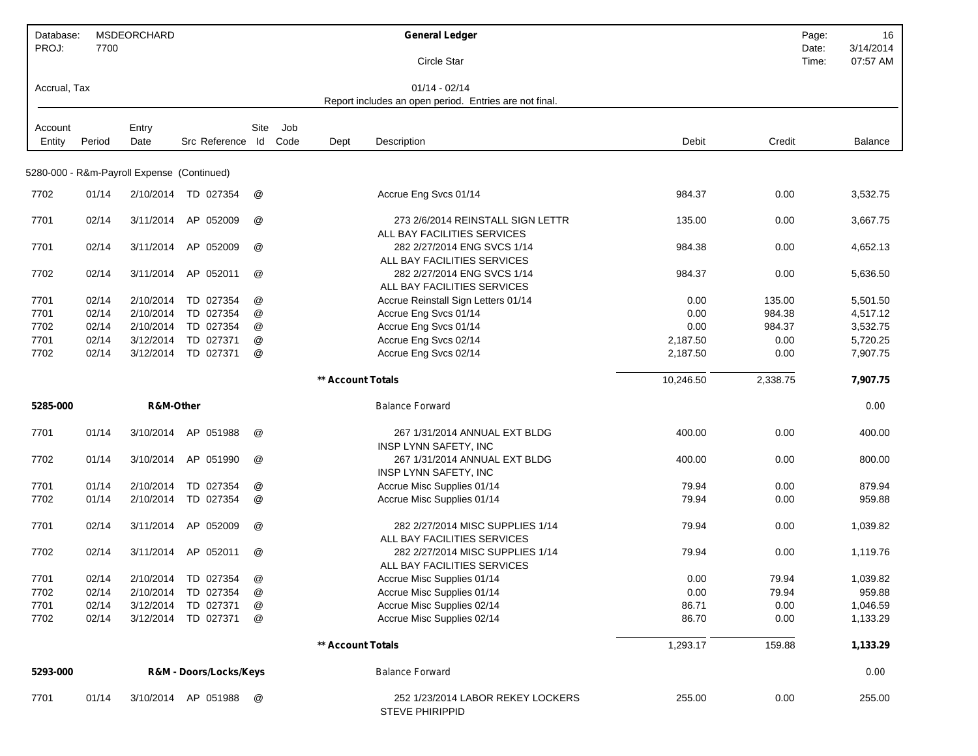| Database:<br>PROJ: | 7700   | MSDEORCHARD                                |                        |                      |      |                          | <b>General Ledger</b>                                                     |           |          | 16<br>Page:<br>3/14/2014<br>Date: |
|--------------------|--------|--------------------------------------------|------------------------|----------------------|------|--------------------------|---------------------------------------------------------------------------|-----------|----------|-----------------------------------|
|                    |        |                                            |                        |                      |      |                          | Circle Star                                                               |           |          | 07:57 AM<br>Time:                 |
| Accrual, Tax       |        |                                            |                        |                      |      |                          | $01/14 - 02/14$<br>Report includes an open period. Entries are not final. |           |          |                                   |
|                    |        |                                            |                        |                      |      |                          |                                                                           |           |          |                                   |
| Account            |        | Entry                                      |                        | Site                 | Job  |                          |                                                                           |           |          |                                   |
| Entity             | Period | Date                                       | Src Reference          | ld                   | Code | Dept                     | Description                                                               | Debit     | Credit   | <b>Balance</b>                    |
|                    |        | 5280-000 - R&m-Payroll Expense (Continued) |                        |                      |      |                          |                                                                           |           |          |                                   |
|                    |        |                                            |                        |                      |      |                          |                                                                           |           |          |                                   |
| 7702               | 01/14  |                                            | 2/10/2014 TD 027354    | @                    |      |                          | Accrue Eng Svcs 01/14                                                     | 984.37    | 0.00     | 3,532.75                          |
| 7701               | 02/14  | 3/11/2014                                  | AP 052009              | @                    |      |                          | 273 2/6/2014 REINSTALL SIGN LETTR                                         | 135.00    | 0.00     | 3,667.75                          |
|                    |        |                                            |                        |                      |      |                          | ALL BAY FACILITIES SERVICES                                               |           |          |                                   |
| 7701               | 02/14  | 3/11/2014                                  | AP 052009              | @                    |      |                          | 282 2/27/2014 ENG SVCS 1/14                                               | 984.38    | 0.00     | 4,652.13                          |
|                    |        |                                            |                        |                      |      |                          | ALL BAY FACILITIES SERVICES                                               |           |          |                                   |
| 7702               | 02/14  | 3/11/2014                                  | AP 052011              | @                    |      |                          | 282 2/27/2014 ENG SVCS 1/14<br>ALL BAY FACILITIES SERVICES                | 984.37    | 0.00     | 5,636.50                          |
| 7701               | 02/14  | 2/10/2014                                  | TD 027354              | @                    |      |                          | Accrue Reinstall Sign Letters 01/14                                       | 0.00      | 135.00   | 5,501.50                          |
| 7701               | 02/14  | 2/10/2014                                  | TD 027354              | @                    |      |                          | Accrue Eng Svcs 01/14                                                     | 0.00      | 984.38   | 4,517.12                          |
| 7702               | 02/14  | 2/10/2014                                  | TD 027354              | @                    |      |                          | Accrue Eng Svcs 01/14                                                     | 0.00      | 984.37   | 3,532.75                          |
| 7701               | 02/14  | 3/12/2014                                  | TD 027371              | @                    |      |                          | Accrue Eng Svcs 02/14                                                     | 2,187.50  | 0.00     | 5,720.25                          |
| 7702               | 02/14  | 3/12/2014                                  | TD 027371              | @                    |      |                          | Accrue Eng Svcs 02/14                                                     | 2,187.50  | 0.00     | 7,907.75                          |
|                    |        |                                            |                        |                      |      | ** Account Totals        |                                                                           | 10,246.50 | 2,338.75 | 7,907.75                          |
| 5285-000           |        | R&M-Other                                  |                        |                      |      |                          | <b>Balance Forward</b>                                                    |           |          | 0.00                              |
| 7701               | 01/14  | 3/10/2014                                  | AP 051988              | @                    |      |                          | 267 1/31/2014 ANNUAL EXT BLDG                                             | 400.00    | 0.00     | 400.00                            |
|                    |        |                                            |                        |                      |      |                          | INSP LYNN SAFETY, INC                                                     |           |          |                                   |
| 7702               | 01/14  | 3/10/2014                                  | AP 051990              | @                    |      |                          | 267 1/31/2014 ANNUAL EXT BLDG                                             | 400.00    | 0.00     | 800.00                            |
|                    |        |                                            |                        |                      |      |                          | INSP LYNN SAFETY, INC                                                     |           |          |                                   |
| 7701               | 01/14  | 2/10/2014                                  | TD 027354              | @                    |      |                          | Accrue Misc Supplies 01/14                                                | 79.94     | 0.00     | 879.94                            |
| 7702               | 01/14  | 2/10/2014                                  | TD 027354              | @                    |      |                          | Accrue Misc Supplies 01/14                                                | 79.94     | 0.00     | 959.88                            |
| 7701               | 02/14  | 3/11/2014                                  | AP 052009              | @                    |      |                          | 282 2/27/2014 MISC SUPPLIES 1/14<br>ALL BAY FACILITIES SERVICES           | 79.94     | 0.00     | 1,039.82                          |
| 7702               | 02/14  | 3/11/2014                                  | AP 052011              | $^{\textregistered}$ |      |                          | 282 2/27/2014 MISC SUPPLIES 1/14<br>ALL BAY FACILITIES SERVICES           | 79.94     | 0.00     | 1,119.76                          |
| 7701               | 02/14  |                                            | 2/10/2014 TD 027354    | @                    |      |                          | Accrue Misc Supplies 01/14                                                | 0.00      | 79.94    | 1,039.82                          |
| 7702               | 02/14  | 2/10/2014                                  | TD 027354              | @                    |      |                          | Accrue Misc Supplies 01/14                                                | 0.00      | 79.94    | 959.88                            |
| 7701               | 02/14  | 3/12/2014                                  | TD 027371              | @                    |      |                          | Accrue Misc Supplies 02/14                                                | 86.71     | 0.00     | 1,046.59                          |
| 7702               | 02/14  |                                            | 3/12/2014 TD 027371    | @                    |      |                          | Accrue Misc Supplies 02/14                                                | 86.70     | 0.00     | 1,133.29                          |
|                    |        |                                            |                        |                      |      | <b>** Account Totals</b> |                                                                           | 1,293.17  | 159.88   | 1,133.29                          |
| 5293-000           |        |                                            | R&M - Doors/Locks/Keys |                      |      |                          | <b>Balance Forward</b>                                                    |           |          | 0.00                              |
| 7701               | 01/14  |                                            | 3/10/2014 AP 051988    | @                    |      |                          | 252 1/23/2014 LABOR REKEY LOCKERS<br><b>STEVE PHIRIPPID</b>               | 255.00    | 0.00     | 255.00                            |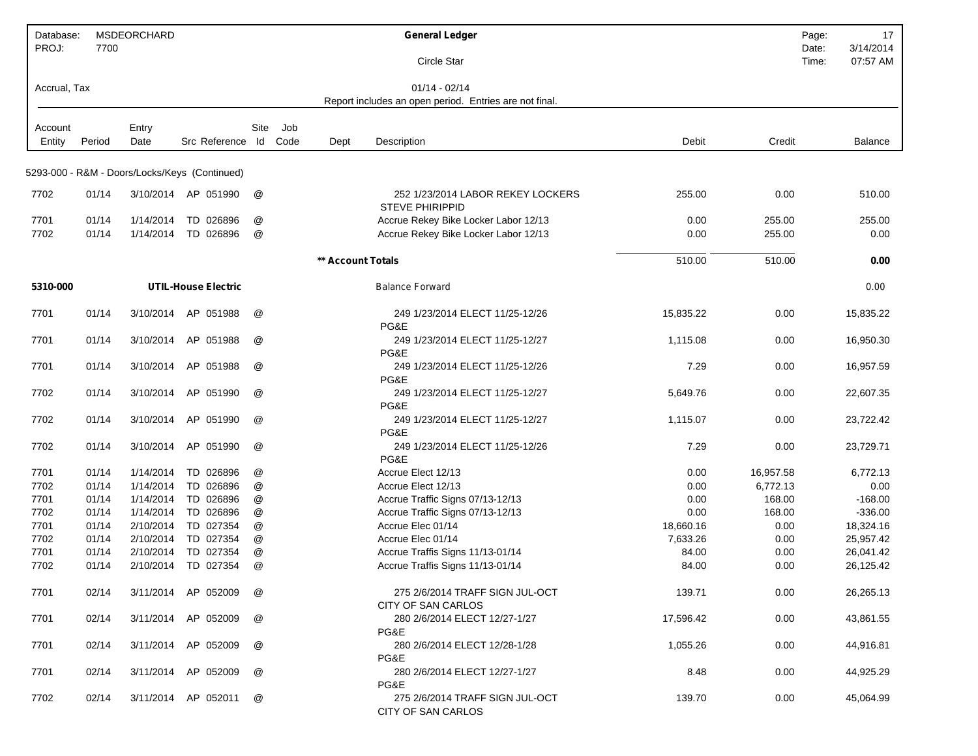| Database:<br>PROJ: | 7700           | <b>MSDEORCHARD</b>     |                                               |        |      |                   | <b>General Ledger</b>                                       |              |              | Page:<br>Date: | 17<br>3/14/2014        |
|--------------------|----------------|------------------------|-----------------------------------------------|--------|------|-------------------|-------------------------------------------------------------|--------------|--------------|----------------|------------------------|
|                    |                |                        |                                               |        |      |                   | Circle Star                                                 |              |              | Time:          | 07:57 AM               |
| Accrual, Tax       |                |                        |                                               |        |      |                   | $01/14 - 02/14$                                             |              |              |                |                        |
|                    |                |                        |                                               |        |      |                   | Report includes an open period. Entries are not final.      |              |              |                |                        |
| Account            |                | Entry                  |                                               | Site   | Job  |                   |                                                             |              |              |                |                        |
| Entity             | Period         | Date                   | Src Reference Id                              |        | Code | Dept              | Description                                                 | Debit        | Credit       |                | <b>Balance</b>         |
|                    |                |                        | 5293-000 - R&M - Doors/Locks/Keys (Continued) |        |      |                   |                                                             |              |              |                |                        |
|                    |                |                        |                                               |        |      |                   |                                                             |              |              |                |                        |
| 7702               | 01/14          |                        | 3/10/2014 AP 051990                           | @      |      |                   | 252 1/23/2014 LABOR REKEY LOCKERS<br><b>STEVE PHIRIPPID</b> | 255.00       | 0.00         |                | 510.00                 |
| 7701               | 01/14          | 1/14/2014              | TD 026896                                     | @      |      |                   | Accrue Rekey Bike Locker Labor 12/13                        | 0.00         | 255.00       |                | 255.00                 |
| 7702               | 01/14          | 1/14/2014              | TD 026896                                     | @      |      |                   | Accrue Rekey Bike Locker Labor 12/13                        | 0.00         | 255.00       |                | 0.00                   |
|                    |                |                        |                                               |        |      | ** Account Totals |                                                             | 510.00       | 510.00       |                | 0.00                   |
| 5310-000           |                |                        | <b>UTIL-House Electric</b>                    |        |      |                   | <b>Balance Forward</b>                                      |              |              |                | 0.00                   |
|                    |                |                        |                                               |        |      |                   |                                                             |              |              |                |                        |
| 7701               | 01/14          | 3/10/2014              | AP 051988                                     | @      |      |                   | 249 1/23/2014 ELECT 11/25-12/26<br>PG&E                     | 15,835.22    | 0.00         |                | 15,835.22              |
| 7701               | 01/14          | 3/10/2014              | AP 051988                                     | @      |      |                   | 249 1/23/2014 ELECT 11/25-12/27                             | 1,115.08     | 0.00         |                | 16,950.30              |
|                    |                |                        |                                               |        |      |                   | PG&E                                                        |              |              |                |                        |
| 7701               | 01/14          | 3/10/2014              | AP 051988                                     | @      |      |                   | 249 1/23/2014 ELECT 11/25-12/26<br>PG&E                     | 7.29         | 0.00         |                | 16,957.59              |
| 7702               | 01/14          | 3/10/2014              | AP<br>051990                                  | @      |      |                   | 249 1/23/2014 ELECT 11/25-12/27                             | 5,649.76     | 0.00         |                | 22,607.35              |
|                    |                |                        |                                               |        |      |                   | PG&E                                                        |              |              |                |                        |
| 7702               | 01/14          | 3/10/2014              | AP 051990                                     | @      |      |                   | 249 1/23/2014 ELECT 11/25-12/27<br>PG&E                     | 1,115.07     | 0.00         |                | 23,722.42              |
| 7702               | 01/14          | 3/10/2014              | AP 051990                                     | @      |      |                   | 249 1/23/2014 ELECT 11/25-12/26                             | 7.29         | 0.00         |                | 23,729.71              |
|                    |                |                        |                                               |        |      |                   | PG&E                                                        |              |              |                |                        |
| 7701               | 01/14          | 1/14/2014              | TD 026896                                     | @      |      |                   | Accrue Elect 12/13                                          | 0.00         | 16,957.58    |                | 6,772.13               |
| 7702               | 01/14          | 1/14/2014              | TD 026896                                     | @      |      |                   | Accrue Elect 12/13                                          | 0.00         | 6,772.13     |                | 0.00                   |
| 7701               | 01/14          | 1/14/2014              | TD 026896<br>TD 026896                        | @      |      |                   | Accrue Traffic Signs 07/13-12/13                            | 0.00<br>0.00 | 168.00       |                | $-168.00$              |
| 7702               | 01/14          | 1/14/2014<br>2/10/2014 | TD 027354                                     | @      |      |                   | Accrue Traffic Signs 07/13-12/13<br>Accrue Elec 01/14       | 18,660.16    | 168.00       |                | $-336.00$<br>18,324.16 |
| 7701<br>7702       | 01/14<br>01/14 | 2/10/2014              | TD 027354                                     | @<br>@ |      |                   | Accrue Elec 01/14                                           | 7,633.26     | 0.00<br>0.00 |                | 25,957.42              |
| 7701               | 01/14          | 2/10/2014              | TD 027354                                     | @      |      |                   | Accrue Traffis Signs 11/13-01/14                            | 84.00        | 0.00         |                | 26,041.42              |
| 7702               | 01/14          | 2/10/2014              | TD 027354                                     | @      |      |                   | Accrue Traffis Signs 11/13-01/14                            | 84.00        | 0.00         |                | 26,125.42              |
|                    |                |                        |                                               |        |      |                   |                                                             |              |              |                |                        |
| 7701               | 02/14          |                        | 3/11/2014 AP 052009                           | @      |      |                   | 275 2/6/2014 TRAFF SIGN JUL-OCT<br>CITY OF SAN CARLOS       | 139.71       | 0.00         |                | 26,265.13              |
| 7701               | 02/14          |                        | 3/11/2014 AP 052009                           | @      |      |                   | 280 2/6/2014 ELECT 12/27-1/27                               | 17,596.42    | 0.00         |                | 43,861.55              |
| 7701               | 02/14          |                        | 3/11/2014 AP 052009                           | @      |      |                   | PG&E<br>280 2/6/2014 ELECT 12/28-1/28                       | 1,055.26     | 0.00         |                | 44,916.81              |
|                    |                |                        |                                               |        |      |                   | PG&E                                                        |              |              |                |                        |
| 7701               | 02/14          |                        | 3/11/2014 AP 052009                           | @      |      |                   | 280 2/6/2014 ELECT 12/27-1/27<br>PG&E                       | 8.48         | 0.00         |                | 44,925.29              |
| 7702               | 02/14          |                        | 3/11/2014 AP 052011                           | @      |      |                   | 275 2/6/2014 TRAFF SIGN JUL-OCT<br>CITY OF SAN CARLOS       | 139.70       | 0.00         |                | 45,064.99              |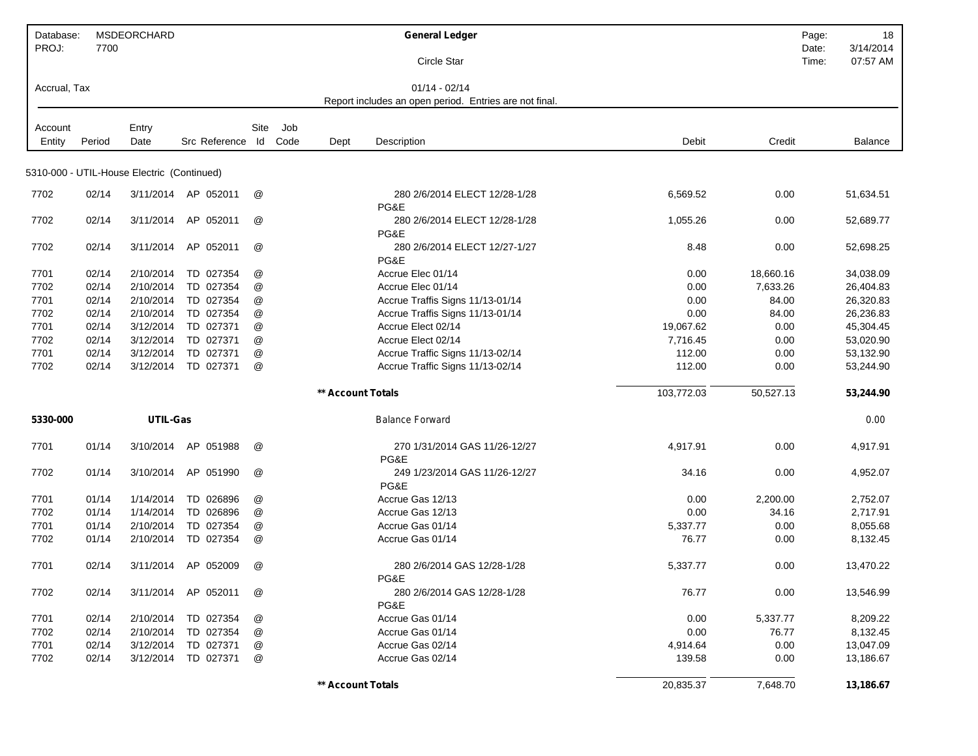| Database:<br>PROJ: | 7700   | MSDEORCHARD                                |                     |               |         |                          | <b>General Ledger</b>                                  |            | Page:<br>Date: | 18<br>3/14/2014 |
|--------------------|--------|--------------------------------------------|---------------------|---------------|---------|--------------------------|--------------------------------------------------------|------------|----------------|-----------------|
|                    |        |                                            |                     |               |         |                          | Circle Star                                            |            | Time:          | 07:57 AM        |
| Accrual, Tax       |        |                                            |                     |               |         |                          | $01/14 - 02/14$                                        |            |                |                 |
|                    |        |                                            |                     |               |         |                          | Report includes an open period. Entries are not final. |            |                |                 |
| Account            |        | Entry                                      |                     | Site          | Job     |                          |                                                        |            |                |                 |
| Entity             | Period | Date                                       | Src Reference       |               | Id Code | Dept                     | Description                                            | Debit      | Credit         | Balance         |
|                    |        | 5310-000 - UTIL-House Electric (Continued) |                     |               |         |                          |                                                        |            |                |                 |
| 7702               | 02/14  |                                            | 3/11/2014 AP 052011 | @             |         |                          | 280 2/6/2014 ELECT 12/28-1/28<br>PG&E                  | 6,569.52   | 0.00           | 51,634.51       |
| 7702               | 02/14  | 3/11/2014                                  | AP 052011           | @             |         |                          | 280 2/6/2014 ELECT 12/28-1/28<br>PG&E                  | 1,055.26   | 0.00           | 52,689.77       |
| 7702               | 02/14  | 3/11/2014                                  | AP 052011           | @             |         |                          | 280 2/6/2014 ELECT 12/27-1/27<br>PG&E                  | 8.48       | 0.00           | 52,698.25       |
| 7701               | 02/14  | 2/10/2014                                  | TD 027354           | @             |         |                          | Accrue Elec 01/14                                      | 0.00       | 18,660.16      | 34,038.09       |
| 7702               | 02/14  | 2/10/2014                                  | TD 027354           | @             |         |                          | Accrue Elec 01/14                                      | 0.00       | 7,633.26       | 26,404.83       |
| 7701               | 02/14  | 2/10/2014                                  | TD 027354           | @             |         |                          | Accrue Traffis Signs 11/13-01/14                       | 0.00       | 84.00          | 26,320.83       |
| 7702               | 02/14  | 2/10/2014                                  | TD 027354           | @             |         |                          | Accrue Traffis Signs 11/13-01/14                       | 0.00       | 84.00          | 26,236.83       |
| 7701               | 02/14  | 3/12/2014                                  | TD 027371           | @             |         |                          | Accrue Elect 02/14                                     | 19,067.62  | 0.00           | 45,304.45       |
| 7702               | 02/14  | 3/12/2014                                  | TD 027371           | @             |         |                          | Accrue Elect 02/14                                     | 7,716.45   | 0.00           | 53,020.90       |
| 7701               | 02/14  | 3/12/2014                                  | TD 027371           | @             |         |                          | Accrue Traffic Signs 11/13-02/14                       | 112.00     | 0.00           | 53,132.90       |
| 7702               | 02/14  | 3/12/2014                                  | TD 027371           | @             |         |                          | Accrue Traffic Signs 11/13-02/14                       | 112.00     | 0.00           | 53,244.90       |
|                    |        |                                            |                     |               |         | <b>** Account Totals</b> |                                                        | 103,772.03 | 50,527.13      | 53,244.90       |
| 5330-000           |        | UTIL-Gas                                   |                     |               |         |                          | <b>Balance Forward</b>                                 |            |                | 0.00            |
| 7701               | 01/14  | 3/10/2014                                  | AP 051988           | @             |         |                          | 270 1/31/2014 GAS 11/26-12/27<br>PG&E                  | 4,917.91   | 0.00           | 4,917.91        |
| 7702               | 01/14  | 3/10/2014                                  | AP 051990           | @             |         |                          | 249 1/23/2014 GAS 11/26-12/27<br>PG&E                  | 34.16      | 0.00           | 4,952.07        |
| 7701               | 01/14  | 1/14/2014                                  | TD 026896           | @             |         |                          | Accrue Gas 12/13                                       | 0.00       | 2,200.00       | 2,752.07        |
| 7702               | 01/14  | 1/14/2014                                  | TD 026896           | @             |         |                          | Accrue Gas 12/13                                       | 0.00       | 34.16          | 2,717.91        |
| 7701               | 01/14  | 2/10/2014                                  | TD 027354           | @             |         |                          | Accrue Gas 01/14                                       | 5,337.77   | 0.00           | 8,055.68        |
| 7702               | 01/14  | 2/10/2014                                  | TD 027354           | @             |         |                          | Accrue Gas 01/14                                       | 76.77      | 0.00           | 8,132.45        |
| 7701               | 02/14  |                                            | 3/11/2014 AP 052009 | @             |         |                          | 280 2/6/2014 GAS 12/28-1/28<br>PG&E                    | 5,337.77   | 0.00           | 13,470.22       |
| 7702               | 02/14  | 3/11/2014                                  | AP 052011           | @             |         |                          | 280 2/6/2014 GAS 12/28-1/28<br>PG&E                    | 76.77      | 0.00           | 13,546.99       |
| 7701               | 02/14  | 2/10/2014                                  | TD 027354           | @             |         |                          | Accrue Gas 01/14                                       | 0.00       | 5,337.77       | 8,209.22        |
| 7702               | 02/14  | 2/10/2014                                  | TD 027354           | $^\copyright$ |         |                          | Accrue Gas 01/14                                       | 0.00       | 76.77          | 8,132.45        |
| 7701               | 02/14  | 3/12/2014                                  | TD 027371           | $^\copyright$ |         |                          | Accrue Gas 02/14                                       | 4,914.64   | 0.00           | 13,047.09       |
| 7702               | 02/14  | 3/12/2014                                  | TD 027371           | @             |         |                          | Accrue Gas 02/14                                       | 139.58     | 0.00           | 13,186.67       |
|                    |        |                                            |                     |               |         | ** Account Totals        |                                                        | 20,835.37  | 7,648.70       | 13,186.67       |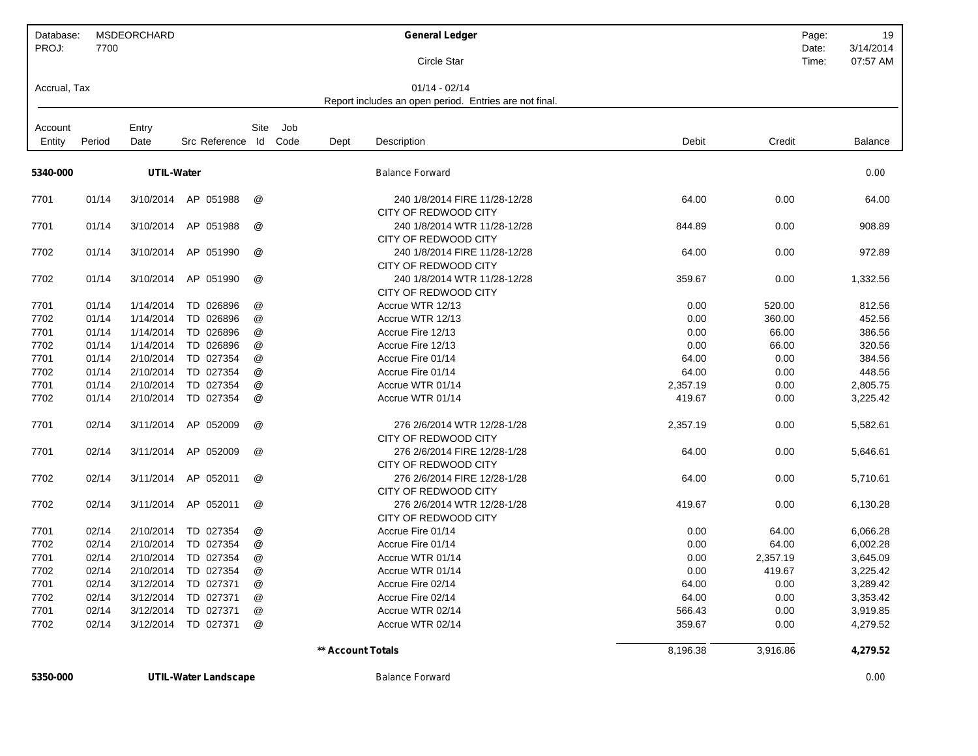| Database:<br>PROJ: | 7700   | <b>MSDEORCHARD</b> |               |                           |                   | <b>General Ledger</b><br>Circle Star                                      |          | Page:<br>Date:<br>Time: | 19<br>3/14/2014<br>07:57 AM |
|--------------------|--------|--------------------|---------------|---------------------------|-------------------|---------------------------------------------------------------------------|----------|-------------------------|-----------------------------|
| Accrual, Tax       |        |                    |               |                           |                   | $01/14 - 02/14$<br>Report includes an open period. Entries are not final. |          |                         |                             |
|                    |        |                    |               |                           |                   |                                                                           |          |                         |                             |
| Account            |        | Entry              |               | Site<br>Job               |                   |                                                                           |          |                         |                             |
| Entity             | Period | Date               | Src Reference | Code<br>ld                | Dept              | Description                                                               | Debit    | Credit                  | <b>Balance</b>              |
| 5340-000           |        | <b>UTIL-Water</b>  |               |                           |                   | <b>Balance Forward</b>                                                    |          |                         | 0.00                        |
| 7701               | 01/14  | 3/10/2014          | AP 051988     | @                         |                   | 240 1/8/2014 FIRE 11/28-12/28<br>CITY OF REDWOOD CITY                     | 64.00    | 0.00                    | 64.00                       |
| 7701               | 01/14  | 3/10/2014          | AP 051988     | $^{\copyright}$           |                   | 240 1/8/2014 WTR 11/28-12/28<br>CITY OF REDWOOD CITY                      | 844.89   | 0.00                    | 908.89                      |
| 7702               | 01/14  | 3/10/2014          | AP 051990     | @                         |                   | 240 1/8/2014 FIRE 11/28-12/28<br>CITY OF REDWOOD CITY                     | 64.00    | 0.00                    | 972.89                      |
| 7702               | 01/14  | 3/10/2014          | AP 051990     | @                         |                   | 240 1/8/2014 WTR 11/28-12/28<br>CITY OF REDWOOD CITY                      | 359.67   | 0.00                    | 1,332.56                    |
| 7701               | 01/14  | 1/14/2014          | TD 026896     | @                         |                   | Accrue WTR 12/13                                                          | 0.00     | 520.00                  | 812.56                      |
| 7702               | 01/14  | 1/14/2014          | TD 026896     | @                         |                   | Accrue WTR 12/13                                                          | 0.00     | 360.00                  | 452.56                      |
| 7701               | 01/14  | 1/14/2014          | TD 026896     | @                         |                   | Accrue Fire 12/13                                                         | 0.00     | 66.00                   | 386.56                      |
| 7702               | 01/14  | 1/14/2014          | TD 026896     | @                         |                   | Accrue Fire 12/13                                                         | 0.00     | 66.00                   | 320.56                      |
| 7701               | 01/14  | 2/10/2014          | TD 027354     | @                         |                   | Accrue Fire 01/14                                                         | 64.00    | 0.00                    | 384.56                      |
| 7702               | 01/14  | 2/10/2014          | TD 027354     | @                         |                   | Accrue Fire 01/14                                                         | 64.00    | 0.00                    | 448.56                      |
| 7701               | 01/14  | 2/10/2014          | 027354<br>TD  | $^\text{\textregistered}$ |                   | Accrue WTR 01/14                                                          | 2,357.19 | 0.00                    | 2,805.75                    |
| 7702               | 01/14  | 2/10/2014          | TD 027354     | @                         |                   | Accrue WTR 01/14                                                          | 419.67   | 0.00                    | 3,225.42                    |
| 7701               | 02/14  | 3/11/2014          | AP 052009     | @                         |                   | 276 2/6/2014 WTR 12/28-1/28<br>CITY OF REDWOOD CITY                       | 2,357.19 | 0.00                    | 5,582.61                    |
| 7701               | 02/14  | 3/11/2014          | AP 052009     | @                         |                   | 276 2/6/2014 FIRE 12/28-1/28<br>CITY OF REDWOOD CITY                      | 64.00    | 0.00                    | 5,646.61                    |
| 7702               | 02/14  | 3/11/2014          | AP<br>052011  | $^{\circledR}$            |                   | 276 2/6/2014 FIRE 12/28-1/28<br>CITY OF REDWOOD CITY                      | 64.00    | 0.00                    | 5,710.61                    |
| 7702               | 02/14  | 3/11/2014          | AP 052011     | @                         |                   | 276 2/6/2014 WTR 12/28-1/28<br>CITY OF REDWOOD CITY                       | 419.67   | 0.00                    | 6,130.28                    |
| 7701               | 02/14  | 2/10/2014          | TD 027354     | @                         |                   | Accrue Fire 01/14                                                         | 0.00     | 64.00                   | 6,066.28                    |
| 7702               | 02/14  | 2/10/2014          | TD 027354     | @                         |                   | Accrue Fire 01/14                                                         | 0.00     | 64.00                   | 6,002.28                    |
| 7701               | 02/14  | 2/10/2014          | TD 027354     | @                         |                   | Accrue WTR 01/14                                                          | 0.00     | 2,357.19                | 3,645.09                    |
| 7702               | 02/14  | 2/10/2014          | TD 027354     | @                         |                   | Accrue WTR 01/14                                                          | 0.00     | 419.67                  | 3,225.42                    |
| 7701               | 02/14  | 3/12/2014          | TD 027371     | @                         |                   | Accrue Fire 02/14                                                         | 64.00    | 0.00                    | 3,289.42                    |
| 7702               | 02/14  | 3/12/2014          | TD 027371     | @                         |                   | Accrue Fire 02/14                                                         | 64.00    | 0.00                    | 3,353.42                    |
| 7701               | 02/14  | 3/12/2014          | TD 027371     | $^\text{\textregistered}$ |                   | Accrue WTR 02/14                                                          | 566.43   | 0.00                    | 3,919.85                    |
| 7702               | 02/14  | 3/12/2014          | TD 027371     | @                         |                   | Accrue WTR 02/14                                                          | 359.67   | 0.00                    | 4,279.52                    |
|                    |        |                    |               |                           | ** Account Totals |                                                                           | 8,196.38 | 3,916.86                | 4,279.52                    |

**5350-000 UTIL-Water Landscape** *Balance Forward 0.00*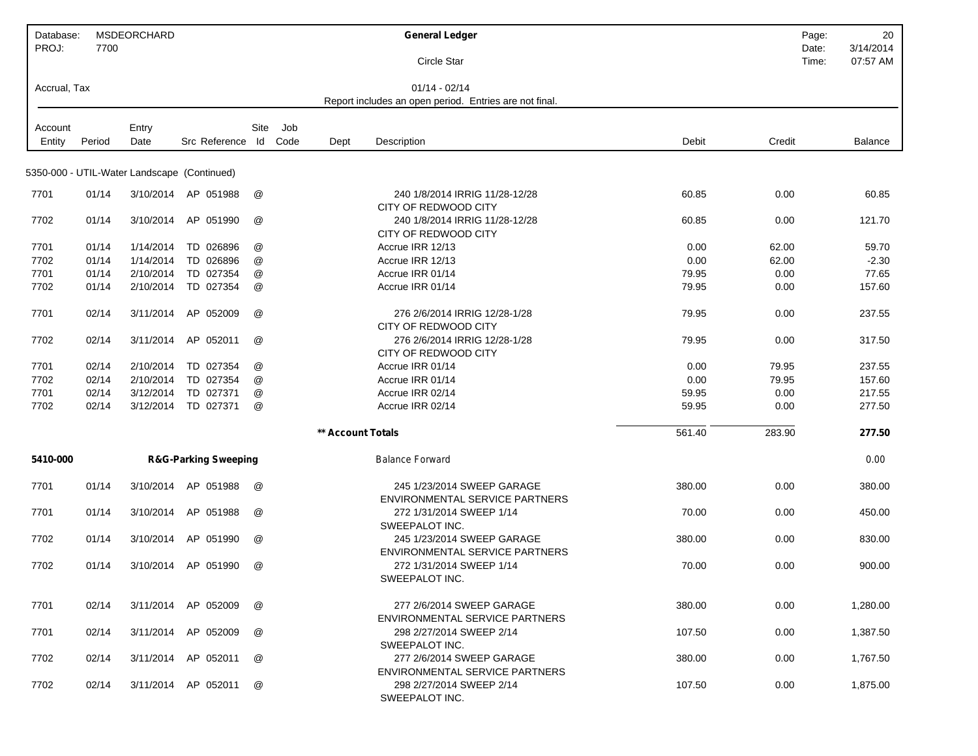| Database:<br>PROJ: | 7700   | <b>MSDEORCHARD</b> |                                             |      |      |                   | <b>General Ledger</b>                                               |        | Page:<br>Date: | 20<br>3/14/2014 |
|--------------------|--------|--------------------|---------------------------------------------|------|------|-------------------|---------------------------------------------------------------------|--------|----------------|-----------------|
|                    |        |                    |                                             |      |      |                   | Circle Star                                                         |        | Time:          | 07:57 AM        |
| Accrual, Tax       |        |                    |                                             |      |      |                   | $01/14 - 02/14$                                                     |        |                |                 |
|                    |        |                    |                                             |      |      |                   | Report includes an open period. Entries are not final.              |        |                |                 |
| Account            |        | Entry              |                                             | Site | Job  |                   |                                                                     |        |                |                 |
| Entity             | Period | Date               | Src Reference Id                            |      | Code | Dept              | Description                                                         | Debit  | Credit         | Balance         |
|                    |        |                    | 5350-000 - UTIL-Water Landscape (Continued) |      |      |                   |                                                                     |        |                |                 |
| 7701               | 01/14  | 3/10/2014          | AP 051988                                   | @    |      |                   | 240 1/8/2014 IRRIG 11/28-12/28<br>CITY OF REDWOOD CITY              | 60.85  | 0.00           | 60.85           |
| 7702               | 01/14  | 3/10/2014          | AP 051990                                   | @    |      |                   | 240 1/8/2014 IRRIG 11/28-12/28<br>CITY OF REDWOOD CITY              | 60.85  | 0.00           | 121.70          |
| 7701               | 01/14  | 1/14/2014          | TD 026896                                   | @    |      |                   | Accrue IRR 12/13                                                    | 0.00   | 62.00          | 59.70           |
| 7702               | 01/14  | 1/14/2014          | TD 026896                                   | @    |      |                   | Accrue IRR 12/13                                                    | 0.00   | 62.00          | $-2.30$         |
| 7701               | 01/14  | 2/10/2014          | TD 027354                                   | @    |      |                   | Accrue IRR 01/14                                                    | 79.95  | 0.00           | 77.65           |
| 7702               | 01/14  | 2/10/2014          | TD 027354                                   | @    |      |                   | Accrue IRR 01/14                                                    | 79.95  | 0.00           | 157.60          |
| 7701               | 02/14  | 3/11/2014          | AP 052009                                   | @    |      |                   | 276 2/6/2014 IRRIG 12/28-1/28<br>CITY OF REDWOOD CITY               | 79.95  | 0.00           | 237.55          |
| 7702               | 02/14  | 3/11/2014          | AP 052011                                   | @    |      |                   | 276 2/6/2014 IRRIG 12/28-1/28<br>CITY OF REDWOOD CITY               | 79.95  | 0.00           | 317.50          |
| 7701               | 02/14  | 2/10/2014          | TD 027354                                   | @    |      |                   | Accrue IRR 01/14                                                    | 0.00   | 79.95          | 237.55          |
| 7702               | 02/14  | 2/10/2014          | TD 027354                                   | @    |      |                   | Accrue IRR 01/14                                                    | 0.00   | 79.95          | 157.60          |
| 7701               | 02/14  | 3/12/2014          | TD 027371                                   | @    |      |                   | Accrue IRR 02/14                                                    | 59.95  | 0.00           | 217.55          |
| 7702               | 02/14  | 3/12/2014          | TD 027371                                   | @    |      |                   | Accrue IRR 02/14                                                    | 59.95  | 0.00           | 277.50          |
|                    |        |                    |                                             |      |      | ** Account Totals |                                                                     | 561.40 | 283.90         | 277.50          |
| 5410-000           |        |                    | <b>R&amp;G-Parking Sweeping</b>             |      |      |                   | <b>Balance Forward</b>                                              |        |                | 0.00            |
| 7701               | 01/14  | 3/10/2014          | AP 051988                                   | @    |      |                   | 245 1/23/2014 SWEEP GARAGE<br>ENVIRONMENTAL SERVICE PARTNERS        | 380.00 | 0.00           | 380.00          |
| 7701               | 01/14  | 3/10/2014          | AP 051988                                   | @    |      |                   | 272 1/31/2014 SWEEP 1/14<br>SWEEPALOT INC.                          | 70.00  | 0.00           | 450.00          |
| 7702               | 01/14  | 3/10/2014          | AP 051990                                   | @    |      |                   | 245 1/23/2014 SWEEP GARAGE<br><b>ENVIRONMENTAL SERVICE PARTNERS</b> | 380.00 | 0.00           | 830.00          |
| 7702               | 01/14  | 3/10/2014          | AP 051990                                   | @    |      |                   | 272 1/31/2014 SWEEP 1/14<br>SWEEPALOT INC.                          | 70.00  | 0.00           | 900.00          |
| 7701               | 02/14  |                    | 3/11/2014 AP 052009                         | @    |      |                   | 277 2/6/2014 SWEEP GARAGE<br><b>ENVIRONMENTAL SERVICE PARTNERS</b>  | 380.00 | 0.00           | 1,280.00        |
| 7701               | 02/14  |                    | 3/11/2014 AP 052009                         | @    |      |                   | 298 2/27/2014 SWEEP 2/14<br>SWEEPALOT INC.                          | 107.50 | 0.00           | 1,387.50        |
| 7702               | 02/14  | 3/11/2014          | AP 052011                                   | @    |      |                   | 277 2/6/2014 SWEEP GARAGE<br>ENVIRONMENTAL SERVICE PARTNERS         | 380.00 | 0.00           | 1,767.50        |
| 7702               | 02/14  |                    | 3/11/2014 AP 052011                         | @    |      |                   | 298 2/27/2014 SWEEP 2/14<br>SWEEPALOT INC.                          | 107.50 | 0.00           | 1,875.00        |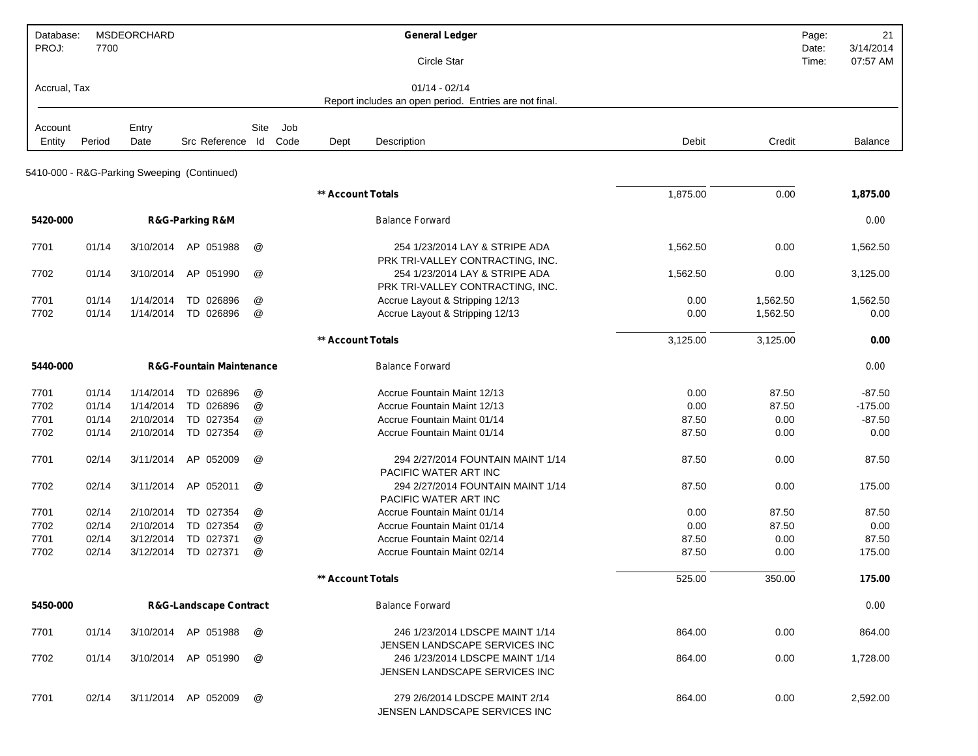| Database:<br>PROJ: | 7700   | <b>MSDEORCHARD</b> |                                             |      |      |                   | <b>General Ledger</b>                                              |          |          | Page:<br>Date: | 21<br>3/14/2014 |
|--------------------|--------|--------------------|---------------------------------------------|------|------|-------------------|--------------------------------------------------------------------|----------|----------|----------------|-----------------|
|                    |        |                    |                                             |      |      |                   | Circle Star                                                        |          |          | Time:          | 07:57 AM        |
| Accrual, Tax       |        |                    |                                             |      |      |                   | $01/14 - 02/14$                                                    |          |          |                |                 |
|                    |        |                    |                                             |      |      |                   | Report includes an open period. Entries are not final.             |          |          |                |                 |
| Account            |        | Entry              |                                             | Site | Job  |                   |                                                                    |          |          |                |                 |
| Entity             | Period | Date               | Src Reference Id                            |      | Code | Dept              | Description                                                        | Debit    | Credit   |                | Balance         |
|                    |        |                    |                                             |      |      |                   |                                                                    |          |          |                |                 |
|                    |        |                    | 5410-000 - R&G-Parking Sweeping (Continued) |      |      |                   |                                                                    |          |          |                |                 |
|                    |        |                    |                                             |      |      | ** Account Totals |                                                                    | 1,875.00 | 0.00     |                | 1,875.00        |
| 5420-000           |        |                    | <b>R&amp;G-Parking R&amp;M</b>              |      |      |                   | <b>Balance Forward</b>                                             |          |          |                | 0.00            |
| 7701               | 01/14  | 3/10/2014          | AP 051988                                   | @    |      |                   | 254 1/23/2014 LAY & STRIPE ADA                                     | 1,562.50 | 0.00     |                | 1,562.50        |
|                    |        |                    |                                             |      |      |                   | PRK TRI-VALLEY CONTRACTING, INC.                                   |          |          |                |                 |
| 7702               | 01/14  | 3/10/2014          | AP 051990                                   | @    |      |                   | 254 1/23/2014 LAY & STRIPE ADA<br>PRK TRI-VALLEY CONTRACTING, INC. | 1,562.50 | 0.00     |                | 3,125.00        |
| 7701               | 01/14  | 1/14/2014          | TD 026896                                   | @    |      |                   | Accrue Layout & Stripping 12/13                                    | 0.00     | 1,562.50 |                | 1,562.50        |
| 7702               | 01/14  | 1/14/2014          | TD 026896                                   | @    |      |                   | Accrue Layout & Stripping 12/13                                    | 0.00     | 1,562.50 |                | 0.00            |
|                    |        |                    |                                             |      |      |                   |                                                                    |          |          |                |                 |
|                    |        |                    |                                             |      |      | ** Account Totals |                                                                    | 3,125.00 | 3,125.00 |                | 0.00            |
| 5440-000           |        |                    | <b>R&amp;G-Fountain Maintenance</b>         |      |      |                   | <b>Balance Forward</b>                                             |          |          |                | 0.00            |
| 7701               | 01/14  | 1/14/2014          | TD 026896                                   | @    |      |                   | Accrue Fountain Maint 12/13                                        | 0.00     | 87.50    |                | $-87.50$        |
| 7702               | 01/14  | 1/14/2014          | TD 026896                                   | @    |      |                   | Accrue Fountain Maint 12/13                                        | 0.00     | 87.50    |                | $-175.00$       |
| 7701               | 01/14  | 2/10/2014          | TD 027354                                   | @    |      |                   | Accrue Fountain Maint 01/14                                        | 87.50    | 0.00     |                | $-87.50$        |
| 7702               | 01/14  | 2/10/2014          | TD 027354                                   | @    |      |                   | Accrue Fountain Maint 01/14                                        | 87.50    | 0.00     |                | 0.00            |
| 7701               | 02/14  | 3/11/2014          | AP 052009                                   | @    |      |                   | 294 2/27/2014 FOUNTAIN MAINT 1/14                                  | 87.50    | 0.00     |                | 87.50           |
|                    |        |                    |                                             |      |      |                   | PACIFIC WATER ART INC                                              |          |          |                |                 |
| 7702               | 02/14  | 3/11/2014          | AP 052011                                   | @    |      |                   | 294 2/27/2014 FOUNTAIN MAINT 1/14<br>PACIFIC WATER ART INC         | 87.50    | 0.00     |                | 175.00          |
| 7701               | 02/14  | 2/10/2014          | TD 027354                                   | @    |      |                   | Accrue Fountain Maint 01/14                                        | 0.00     | 87.50    |                | 87.50           |
| 7702               | 02/14  | 2/10/2014          | TD 027354                                   | @    |      |                   | Accrue Fountain Maint 01/14                                        | 0.00     | 87.50    |                | 0.00            |
| 7701               | 02/14  | 3/12/2014          | TD 027371                                   | @    |      |                   | Accrue Fountain Maint 02/14                                        | 87.50    | 0.00     |                | 87.50           |
| 7702               | 02/14  | 3/12/2014          | TD 027371                                   | @    |      |                   | Accrue Fountain Maint 02/14                                        | 87.50    | 0.00     |                | 175.00          |
|                    |        |                    |                                             |      |      | ** Account Totals |                                                                    | 525.00   | 350.00   |                | 175.00          |
|                    |        |                    |                                             |      |      |                   |                                                                    |          |          |                |                 |
| 5450-000           |        |                    | <b>R&amp;G-Landscape Contract</b>           |      |      |                   | <b>Balance Forward</b>                                             |          |          |                | 0.00            |
| 7701               | 01/14  |                    | 3/10/2014 AP 051988                         | @    |      |                   | 246 1/23/2014 LDSCPE MAINT 1/14<br>JENSEN LANDSCAPE SERVICES INC   | 864.00   | 0.00     |                | 864.00          |
| 7702               | 01/14  |                    | 3/10/2014 AP 051990                         | @    |      |                   | 246 1/23/2014 LDSCPE MAINT 1/14<br>JENSEN LANDSCAPE SERVICES INC   | 864.00   | 0.00     |                | 1,728.00        |
| 7701               | 02/14  |                    | 3/11/2014 AP 052009                         | @    |      |                   | 279 2/6/2014 LDSCPE MAINT 2/14<br>JENSEN LANDSCAPE SERVICES INC    | 864.00   | 0.00     |                | 2,592.00        |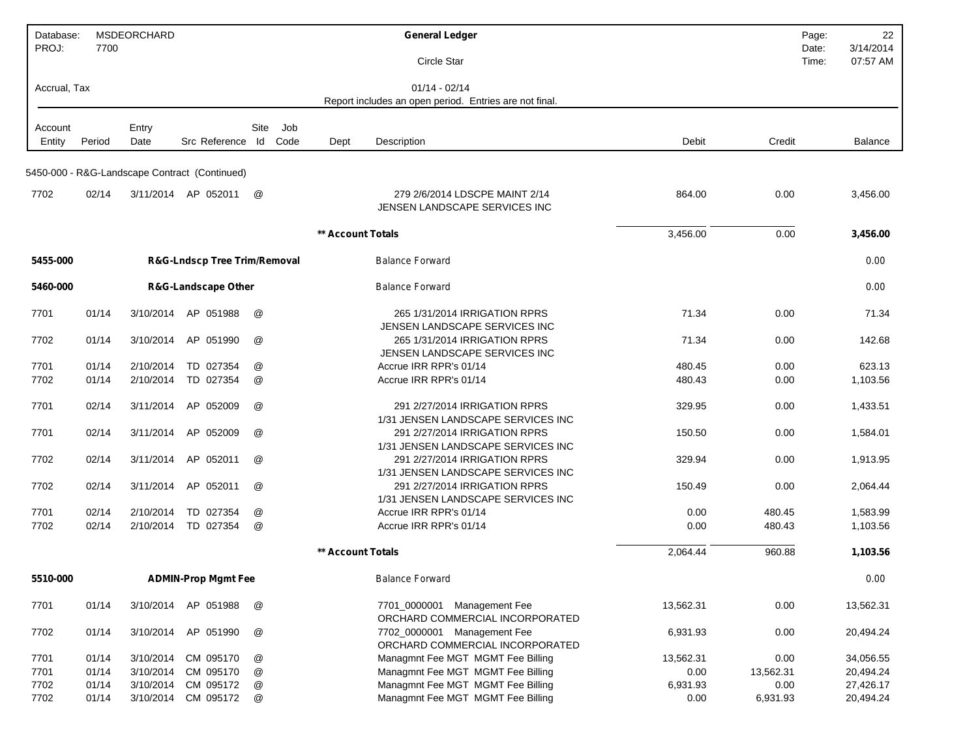| Database:    |        | MSDEORCHARD |                                               |                      |      |                   | <b>General Ledger</b>                                               |           |           | 22<br>Page:                             |
|--------------|--------|-------------|-----------------------------------------------|----------------------|------|-------------------|---------------------------------------------------------------------|-----------|-----------|-----------------------------------------|
| PROJ:        | 7700   |             |                                               |                      |      |                   | Circle Star                                                         |           |           | 3/14/2014<br>Date:<br>Time:<br>07:57 AM |
|              |        |             |                                               |                      |      |                   |                                                                     |           |           |                                         |
| Accrual, Tax |        |             |                                               |                      |      |                   | $01/14 - 02/14$                                                     |           |           |                                         |
|              |        |             |                                               |                      |      |                   | Report includes an open period. Entries are not final.              |           |           |                                         |
| Account      |        | Entry       |                                               | Site                 | Job  |                   |                                                                     |           |           |                                         |
| Entity       | Period | Date        | Src Reference Id                              |                      | Code | Dept              | Description                                                         | Debit     | Credit    | <b>Balance</b>                          |
|              |        |             |                                               |                      |      |                   |                                                                     |           |           |                                         |
|              |        |             | 5450-000 - R&G-Landscape Contract (Continued) |                      |      |                   |                                                                     |           |           |                                         |
| 7702         | 02/14  |             | 3/11/2014 AP 052011                           | @                    |      |                   | 279 2/6/2014 LDSCPE MAINT 2/14                                      | 864.00    | 0.00      | 3,456.00                                |
|              |        |             |                                               |                      |      |                   | JENSEN LANDSCAPE SERVICES INC                                       |           |           |                                         |
|              |        |             |                                               |                      |      |                   |                                                                     |           |           |                                         |
|              |        |             |                                               |                      |      | ** Account Totals |                                                                     | 3,456.00  | 0.00      | 3,456.00                                |
| 5455-000     |        |             | <b>R&amp;G-Lndscp Tree Trim/Removal</b>       |                      |      |                   | <b>Balance Forward</b>                                              |           |           | 0.00                                    |
|              |        |             |                                               |                      |      |                   |                                                                     |           |           |                                         |
| 5460-000     |        |             | <b>R&amp;G-Landscape Other</b>                |                      |      |                   | <b>Balance Forward</b>                                              |           |           | 0.00                                    |
|              |        |             |                                               |                      |      |                   |                                                                     |           |           |                                         |
| 7701         | 01/14  | 3/10/2014   | AP 051988                                     | @                    |      |                   | 265 1/31/2014 IRRIGATION RPRS<br>JENSEN LANDSCAPE SERVICES INC      | 71.34     | 0.00      | 71.34                                   |
| 7702         | 01/14  | 3/10/2014   | AP 051990                                     | @                    |      |                   | 265 1/31/2014 IRRIGATION RPRS                                       | 71.34     | 0.00      | 142.68                                  |
|              |        |             |                                               |                      |      |                   | JENSEN LANDSCAPE SERVICES INC                                       |           |           |                                         |
| 7701         | 01/14  | 2/10/2014   | TD 027354                                     | @                    |      |                   | Accrue IRR RPR's 01/14                                              | 480.45    | 0.00      | 623.13                                  |
| 7702         | 01/14  | 2/10/2014   | TD 027354                                     | @                    |      |                   | Accrue IRR RPR's 01/14                                              | 480.43    | 0.00      | 1,103.56                                |
| 7701         | 02/14  | 3/11/2014   | AP 052009                                     | @                    |      |                   | 291 2/27/2014 IRRIGATION RPRS                                       | 329.95    | 0.00      | 1,433.51                                |
|              |        |             |                                               |                      |      |                   | 1/31 JENSEN LANDSCAPE SERVICES INC                                  |           |           |                                         |
| 7701         | 02/14  | 3/11/2014   | AP 052009                                     | $^{\textregistered}$ |      |                   | 291 2/27/2014 IRRIGATION RPRS                                       | 150.50    | 0.00      | 1,584.01                                |
|              |        |             |                                               |                      |      |                   | 1/31 JENSEN LANDSCAPE SERVICES INC                                  |           |           |                                         |
| 7702         | 02/14  | 3/11/2014   | AP 052011                                     | $^{\circledR}$       |      |                   | 291 2/27/2014 IRRIGATION RPRS                                       | 329.94    | 0.00      | 1,913.95                                |
|              |        |             | AP 052011                                     | @                    |      |                   | 1/31 JENSEN LANDSCAPE SERVICES INC<br>291 2/27/2014 IRRIGATION RPRS |           |           |                                         |
| 7702         | 02/14  | 3/11/2014   |                                               |                      |      |                   | 1/31 JENSEN LANDSCAPE SERVICES INC                                  | 150.49    | 0.00      | 2,064.44                                |
| 7701         | 02/14  | 2/10/2014   | TD 027354                                     | @                    |      |                   | Accrue IRR RPR's 01/14                                              | 0.00      | 480.45    | 1,583.99                                |
| 7702         | 02/14  | 2/10/2014   | TD 027354                                     | @                    |      |                   | Accrue IRR RPR's 01/14                                              | 0.00      | 480.43    | 1,103.56                                |
|              |        |             |                                               |                      |      |                   |                                                                     |           |           |                                         |
|              |        |             |                                               |                      |      | ** Account Totals |                                                                     | 2,064.44  | 960.88    | 1,103.56                                |
| 5510-000     |        |             | <b>ADMIN-Prop Mgmt Fee</b>                    |                      |      |                   | <b>Balance Forward</b>                                              |           |           | 0.00                                    |
|              |        |             |                                               |                      |      |                   |                                                                     |           |           |                                         |
| 7701         | 01/14  |             | 3/10/2014 AP 051988                           | @                    |      |                   | 7701_0000001 Management Fee<br>ORCHARD COMMERCIAL INCORPORATED      | 13,562.31 | 0.00      | 13,562.31                               |
| 7702         | 01/14  | 3/10/2014   | AP 051990                                     | @                    |      |                   | 7702_0000001 Management Fee                                         | 6,931.93  | 0.00      | 20,494.24                               |
|              |        |             |                                               |                      |      |                   | ORCHARD COMMERCIAL INCORPORATED                                     |           |           |                                         |
| 7701         | 01/14  | 3/10/2014   | CM 095170                                     | @                    |      |                   | Managmnt Fee MGT MGMT Fee Billing                                   | 13,562.31 | 0.00      | 34,056.55                               |
| 7701         | 01/14  | 3/10/2014   | CM 095170                                     | @                    |      |                   | Managmnt Fee MGT MGMT Fee Billing                                   | 0.00      | 13,562.31 | 20,494.24                               |
| 7702         | 01/14  | 3/10/2014   | CM 095172                                     | @                    |      |                   | Managmnt Fee MGT MGMT Fee Billing                                   | 6,931.93  | 0.00      | 27,426.17                               |
| 7702         | 01/14  | 3/10/2014   | CM 095172                                     | @                    |      |                   | Managmnt Fee MGT MGMT Fee Billing                                   | 0.00      | 6,931.93  | 20,494.24                               |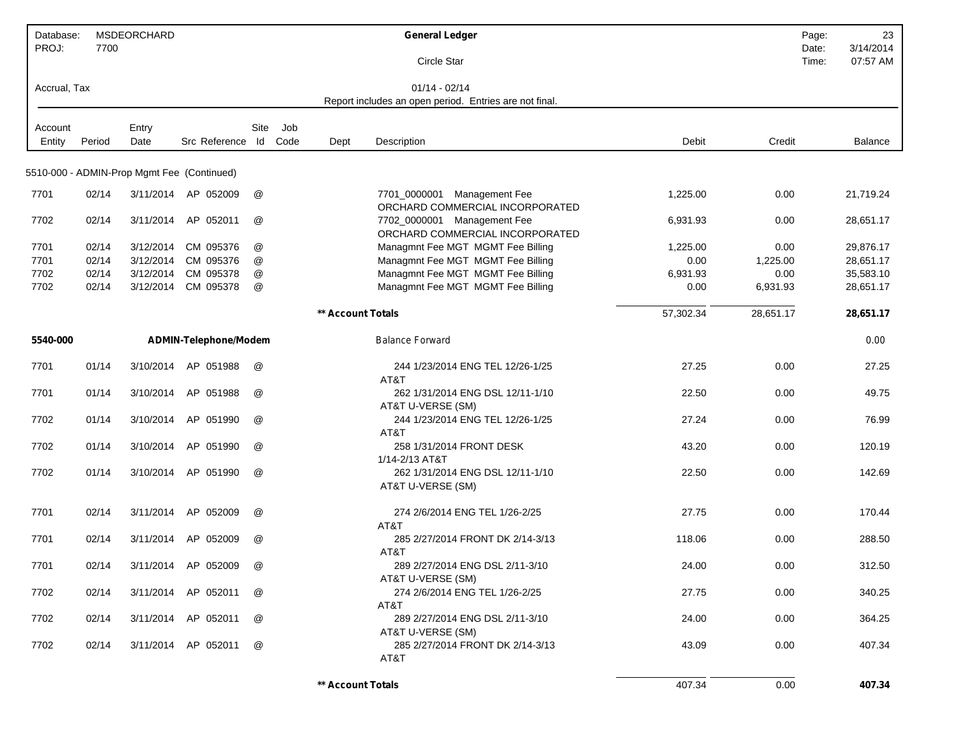| Database:<br>PROJ: | 7700   | MSDEORCHARD |                                            |      |      |                   | <b>General Ledger</b>                                          |           | Page:<br>Date: | 23<br>3/14/2014 |
|--------------------|--------|-------------|--------------------------------------------|------|------|-------------------|----------------------------------------------------------------|-----------|----------------|-----------------|
|                    |        |             |                                            |      |      |                   | Circle Star                                                    |           | Time:          | 07:57 AM        |
| Accrual, Tax       |        |             |                                            |      |      |                   | $01/14 - 02/14$                                                |           |                |                 |
|                    |        |             |                                            |      |      |                   | Report includes an open period. Entries are not final.         |           |                |                 |
| Account            |        | Entry       |                                            | Site | Job  |                   |                                                                |           |                |                 |
| Entity             | Period | Date        | Src Reference Id                           |      | Code | Dept              | Description                                                    | Debit     | Credit         | Balance         |
|                    |        |             | 5510-000 - ADMIN-Prop Mgmt Fee (Continued) |      |      |                   |                                                                |           |                |                 |
| 7701               | 02/14  | 3/11/2014   | AP 052009                                  | @    |      |                   | 7701_0000001 Management Fee<br>ORCHARD COMMERCIAL INCORPORATED | 1,225.00  | 0.00           | 21,719.24       |
| 7702               | 02/14  | 3/11/2014   | AP 052011                                  | @    |      |                   | 7702_0000001 Management Fee<br>ORCHARD COMMERCIAL INCORPORATED | 6,931.93  | 0.00           | 28,651.17       |
| 7701               | 02/14  | 3/12/2014   | CM 095376                                  | @    |      |                   | Managmnt Fee MGT MGMT Fee Billing                              | 1,225.00  | 0.00           | 29,876.17       |
| 7701               | 02/14  | 3/12/2014   | CM 095376                                  | @    |      |                   | Managmnt Fee MGT MGMT Fee Billing                              | 0.00      | 1,225.00       | 28,651.17       |
| 7702               | 02/14  | 3/12/2014   | CM 095378                                  | @    |      |                   | Managmnt Fee MGT MGMT Fee Billing                              | 6,931.93  | 0.00           | 35,583.10       |
| 7702               | 02/14  | 3/12/2014   | CM 095378                                  | @    |      |                   | Managmnt Fee MGT MGMT Fee Billing                              | 0.00      | 6,931.93       | 28,651.17       |
|                    |        |             |                                            |      |      | ** Account Totals |                                                                | 57,302.34 | 28,651.17      | 28,651.17       |
| 5540-000           |        |             | ADMIN-Telephone/Modem                      |      |      |                   | <b>Balance Forward</b>                                         |           |                | 0.00            |
| 7701               | 01/14  | 3/10/2014   | AP 051988                                  | @    |      |                   | 244 1/23/2014 ENG TEL 12/26-1/25<br>AT&T                       | 27.25     | 0.00           | 27.25           |
| 7701               | 01/14  | 3/10/2014   | AP 051988                                  | @    |      |                   | 262 1/31/2014 ENG DSL 12/11-1/10<br>AT&T U-VERSE (SM)          | 22.50     | 0.00           | 49.75           |
| 7702               | 01/14  | 3/10/2014   | AP 051990                                  | @    |      |                   | 244 1/23/2014 ENG TEL 12/26-1/25<br>AT&T                       | 27.24     | 0.00           | 76.99           |
| 7702               | 01/14  | 3/10/2014   | AP 051990                                  | @    |      |                   | 258 1/31/2014 FRONT DESK<br>1/14-2/13 AT&T                     | 43.20     | 0.00           | 120.19          |
| 7702               | 01/14  | 3/10/2014   | AP 051990                                  | @    |      |                   | 262 1/31/2014 ENG DSL 12/11-1/10<br>AT&T U-VERSE (SM)          | 22.50     | 0.00           | 142.69          |
| 7701               | 02/14  | 3/11/2014   | AP 052009                                  | @    |      |                   | 274 2/6/2014 ENG TEL 1/26-2/25<br>AT&T                         | 27.75     | 0.00           | 170.44          |
| 7701               | 02/14  | 3/11/2014   | AP 052009                                  | @    |      |                   | 285 2/27/2014 FRONT DK 2/14-3/13<br>AT&T                       | 118.06    | 0.00           | 288.50          |
| 7701               | 02/14  |             | 3/11/2014 AP 052009                        | @    |      |                   | 289 2/27/2014 ENG DSL 2/11-3/10<br>AT&T U-VERSE (SM)           | 24.00     | 0.00           | 312.50          |
| 7702               | 02/14  |             | 3/11/2014 AP 052011                        | @    |      |                   | 274 2/6/2014 ENG TEL 1/26-2/25<br>AT&T                         | 27.75     | 0.00           | 340.25          |
| 7702               | 02/14  |             | 3/11/2014 AP 052011                        | @    |      |                   | 289 2/27/2014 ENG DSL 2/11-3/10<br>AT&T U-VERSE (SM)           | 24.00     | 0.00           | 364.25          |
| 7702               | 02/14  |             | 3/11/2014 AP 052011                        | @    |      |                   | 285 2/27/2014 FRONT DK 2/14-3/13<br>AT&T                       | 43.09     | 0.00           | 407.34          |
|                    |        |             |                                            |      |      | ** Account Totals |                                                                | 407.34    | 0.00           | 407.34          |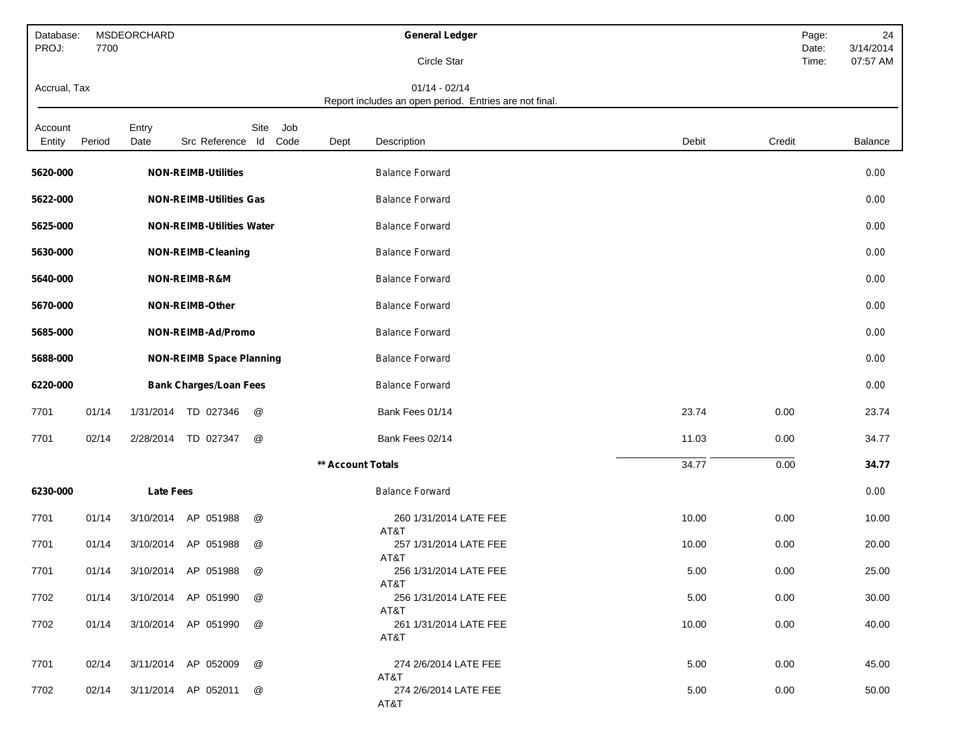| Database:<br>PROJ: | 7700   | MSDEORCHARD      |                                  |                     |                   | <b>General Ledger</b>                                                     |       | Page:<br>Date: | 24<br>3/14/2014 |
|--------------------|--------|------------------|----------------------------------|---------------------|-------------------|---------------------------------------------------------------------------|-------|----------------|-----------------|
|                    |        |                  |                                  |                     |                   | Circle Star                                                               |       | Time:          | 07:57 AM        |
| Accrual, Tax       |        |                  |                                  |                     |                   | $01/14 - 02/14$<br>Report includes an open period. Entries are not final. |       |                |                 |
| Account<br>Entity  | Period | Entry<br>Date    | Src Reference Id                 | Site<br>Job<br>Code | Dept              | Description                                                               | Debit | Credit         | Balance         |
| 5620-000           |        |                  | <b>NON-REIMB-Utilities</b>       |                     |                   | <b>Balance Forward</b>                                                    |       |                | 0.00            |
| 5622-000           |        |                  | <b>NON-REIMB-Utilities Gas</b>   |                     |                   | <b>Balance Forward</b>                                                    |       |                | 0.00            |
| 5625-000           |        |                  | <b>NON-REIMB-Utilities Water</b> |                     |                   | <b>Balance Forward</b>                                                    |       |                | 0.00            |
| 5630-000           |        |                  | <b>NON-REIMB-Cleaning</b>        |                     |                   | <b>Balance Forward</b>                                                    |       |                | 0.00            |
| 5640-000           |        |                  | NON-REIMB-R&M                    |                     |                   | <b>Balance Forward</b>                                                    |       |                | 0.00            |
| 5670-000           |        |                  | NON-REIMB-Other                  |                     |                   | <b>Balance Forward</b>                                                    |       |                | 0.00            |
| 5685-000           |        |                  | NON-REIMB-Ad/Promo               |                     |                   | <b>Balance Forward</b>                                                    |       |                | 0.00            |
| 5688-000           |        |                  | <b>NON-REIMB Space Planning</b>  |                     |                   | <b>Balance Forward</b>                                                    |       |                | 0.00            |
| 6220-000           |        |                  | <b>Bank Charges/Loan Fees</b>    |                     |                   | <b>Balance Forward</b>                                                    |       |                | 0.00            |
| 7701               | 01/14  | 1/31/2014        | TD 027346                        | @                   |                   | Bank Fees 01/14                                                           | 23.74 | 0.00           | 23.74           |
| 7701               | 02/14  | 2/28/2014        | TD 027347                        | @                   |                   | Bank Fees 02/14                                                           | 11.03 | 0.00           | 34.77           |
|                    |        |                  |                                  |                     | ** Account Totals |                                                                           | 34.77 | 0.00           | 34.77           |
| 6230-000           |        | <b>Late Fees</b> |                                  |                     |                   | <b>Balance Forward</b>                                                    |       |                | 0.00            |
| 7701               | 01/14  | 3/10/2014        | AP 051988                        | @                   |                   | 260 1/31/2014 LATE FEE<br>AT&T                                            | 10.00 | 0.00           | 10.00           |
| 7701               | 01/14  | 3/10/2014        | AP 051988                        | @                   |                   | 257 1/31/2014 LATE FEE<br>AT&T                                            | 10.00 | 0.00           | 20.00           |
| 7701               | 01/14  | 3/10/2014        | AP 051988                        | @                   |                   | 256 1/31/2014 LATE FEE<br>AT&T                                            | 5.00  | 0.00           | 25.00           |
| 7702               | 01/14  |                  | 3/10/2014 AP 051990              | @                   |                   | 256 1/31/2014 LATE FEE<br>AT&T                                            | 5.00  | 0.00           | 30.00           |
| 7702               | 01/14  |                  | 3/10/2014 AP 051990              | @                   |                   | 261 1/31/2014 LATE FEE<br>AT&T                                            | 10.00 | 0.00           | 40.00           |
| 7701               | 02/14  |                  | 3/11/2014 AP 052009              | @                   |                   | 274 2/6/2014 LATE FEE                                                     | 5.00  | 0.00           | 45.00           |
| 7702               | 02/14  |                  | 3/11/2014 AP 052011              | @                   |                   | AT&T<br>274 2/6/2014 LATE FEE<br>AT&T                                     | 5.00  | 0.00           | 50.00           |